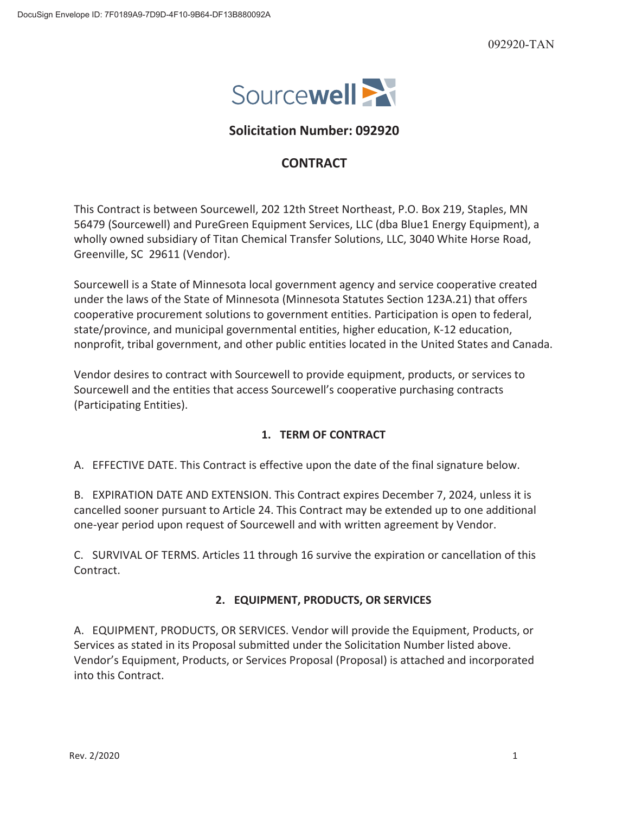

# **Solicitation Number: 092920**

## **CONTRACT**

This Contract is between Sourcewell, 202 12th Street Northeast, P.O. Box 219, Staples, MN 56479 (Sourcewell) and PureGreen Equipment Services, LLC (dba Blue1 Energy Equipment), a wholly owned subsidiary of Titan Chemical Transfer Solutions, LLC, 3040 White Horse Road, Greenville, SC 29611 (Vendor).

Sourcewell is a State of Minnesota local government agency and service cooperative created under the laws of the State of Minnesota (Minnesota Statutes Section 123A.21) that offers cooperative procurement solutions to government entities. Participation is open to federal, state/province, and municipal governmental entities, higher education, K-12 education, nonprofit, tribal government, and other public entities located in the United States and Canada.

Vendor desires to contract with Sourcewell to provide equipment, products, or services to Sourcewell and the entities that access Sourcewell's cooperative purchasing contracts (Participating Entities).

## **1. TERM OF CONTRACT**

A. EFFECTIVE DATE. This Contract is effective upon the date of the final signature below.

B. EXPIRATION DATE AND EXTENSION. This Contract expires December 7, 2024, unless it is cancelled sooner pursuant to Article 24. This Contract may be extended up to one additional one-year period upon request of Sourcewell and with written agreement by Vendor.

C. SURVIVAL OF TERMS. Articles 11 through 16 survive the expiration or cancellation of this Contract.

## **2. EQUIPMENT, PRODUCTS, OR SERVICES**

A. EQUIPMENT, PRODUCTS, OR SERVICES. Vendor will provide the Equipment, Products, or Services as stated in its Proposal submitted under the Solicitation Number listed above. Vendor's Equipment, Products, or Services Proposal (Proposal) is attached and incorporated into this Contract.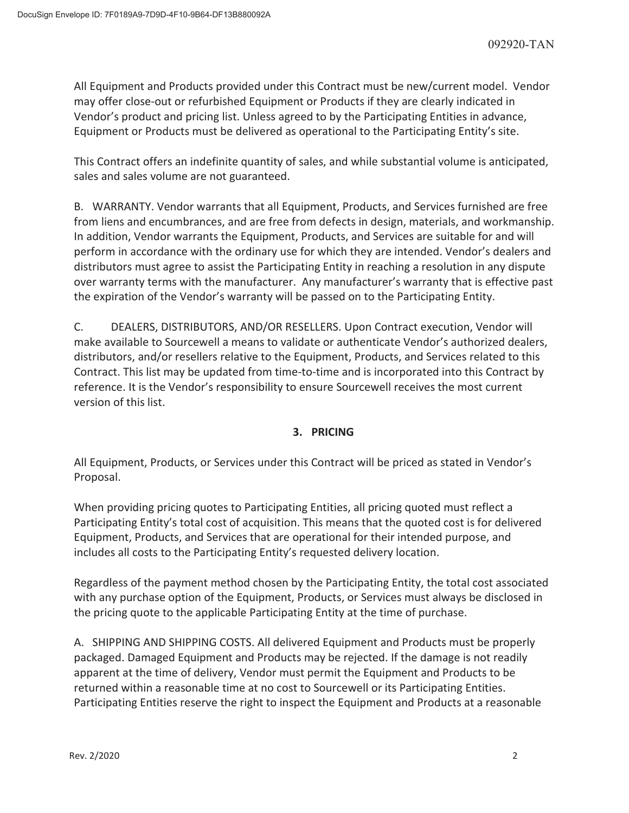All Equipment and Products provided under this Contract must be new/current model. Vendor may offer close-out or refurbished Equipment or Products if they are clearly indicated in Vendor's product and pricing list. Unless agreed to by the Participating Entities in advance, Equipment or Products must be delivered as operational to the Participating Entity's site.

This Contract offers an indefinite quantity of sales, and while substantial volume is anticipated, sales and sales volume are not guaranteed.

B. WARRANTY. Vendor warrants that all Equipment, Products, and Services furnished are free from liens and encumbrances, and are free from defects in design, materials, and workmanship. In addition, Vendor warrants the Equipment, Products, and Services are suitable for and will perform in accordance with the ordinary use for which they are intended. Vendor's dealers and distributors must agree to assist the Participating Entity in reaching a resolution in any dispute over warranty terms with the manufacturer. Any manufacturer's warranty that is effective past the expiration of the Vendor's warranty will be passed on to the Participating Entity.

C. DEALERS, DISTRIBUTORS, AND/OR RESELLERS. Upon Contract execution, Vendor will make available to Sourcewell a means to validate or authenticate Vendor's authorized dealers, distributors, and/or resellers relative to the Equipment, Products, and Services related to this Contract. This list may be updated from time-to-time and is incorporated into this Contract by reference. It is the Vendor's responsibility to ensure Sourcewell receives the most current version of this list.

## **3. PRICING**

All Equipment, Products, or Services under this Contract will be priced as stated in Vendor's Proposal.

When providing pricing quotes to Participating Entities, all pricing quoted must reflect a Participating Entity's total cost of acquisition. This means that the quoted cost is for delivered Equipment, Products, and Services that are operational for their intended purpose, and includes all costs to the Participating Entity's requested delivery location.

Regardless of the payment method chosen by the Participating Entity, the total cost associated with any purchase option of the Equipment, Products, or Services must always be disclosed in the pricing quote to the applicable Participating Entity at the time of purchase.

A. SHIPPING AND SHIPPING COSTS. All delivered Equipment and Products must be properly packaged. Damaged Equipment and Products may be rejected. If the damage is not readily apparent at the time of delivery, Vendor must permit the Equipment and Products to be returned within a reasonable time at no cost to Sourcewell or its Participating Entities. Participating Entities reserve the right to inspect the Equipment and Products at a reasonable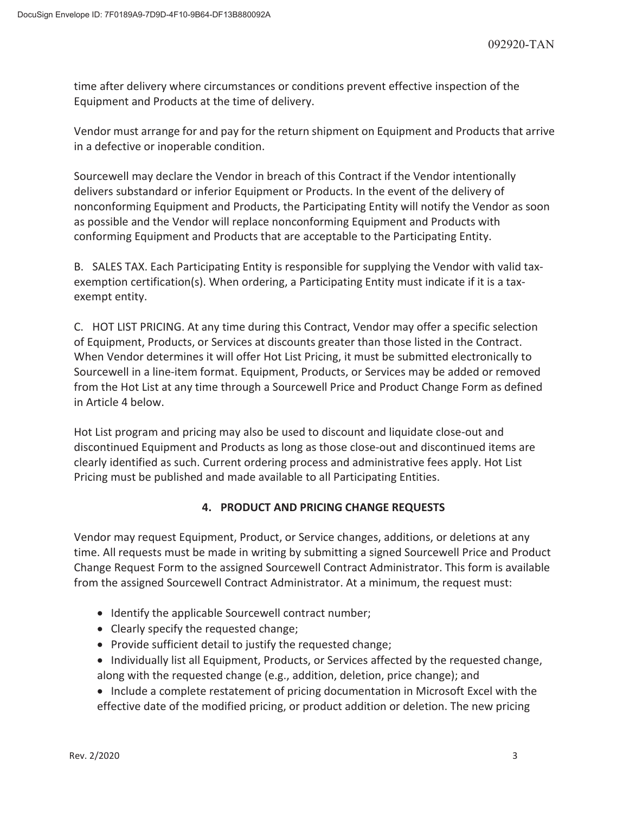time after delivery where circumstances or conditions prevent effective inspection of the Equipment and Products at the time of delivery.

Vendor must arrange for and pay for the return shipment on Equipment and Products that arrive in a defective or inoperable condition.

Sourcewell may declare the Vendor in breach of this Contract if the Vendor intentionally delivers substandard or inferior Equipment or Products. In the event of the delivery of nonconforming Equipment and Products, the Participating Entity will notify the Vendor as soon as possible and the Vendor will replace nonconforming Equipment and Products with conforming Equipment and Products that are acceptable to the Participating Entity.

B. SALES TAX. Each Participating Entity is responsible for supplying the Vendor with valid taxexemption certification(s). When ordering, a Participating Entity must indicate if it is a taxexempt entity.

C. HOT LIST PRICING. At any time during this Contract, Vendor may offer a specific selection of Equipment, Products, or Services at discounts greater than those listed in the Contract. When Vendor determines it will offer Hot List Pricing, it must be submitted electronically to Sourcewell in a line-item format. Equipment, Products, or Services may be added or removed from the Hot List at any time through a Sourcewell Price and Product Change Form as defined in Article 4 below.

Hot List program and pricing may also be used to discount and liquidate close-out and discontinued Equipment and Products as long as those close-out and discontinued items are clearly identified as such. Current ordering process and administrative fees apply. Hot List Pricing must be published and made available to all Participating Entities.

## **4. PRODUCT AND PRICING CHANGE REQUESTS**

Vendor may request Equipment, Product, or Service changes, additions, or deletions at any time. All requests must be made in writing by submitting a signed Sourcewell Price and Product Change Request Form to the assigned Sourcewell Contract Administrator. This form is available from the assigned Sourcewell Contract Administrator. At a minimum, the request must:

- Identify the applicable Sourcewell contract number;
- Clearly specify the requested change;
- Provide sufficient detail to justify the requested change;
- Individually list all Equipment, Products, or Services affected by the requested change, along with the requested change (e.g., addition, deletion, price change); and
- Include a complete restatement of pricing documentation in Microsoft Excel with the effective date of the modified pricing, or product addition or deletion. The new pricing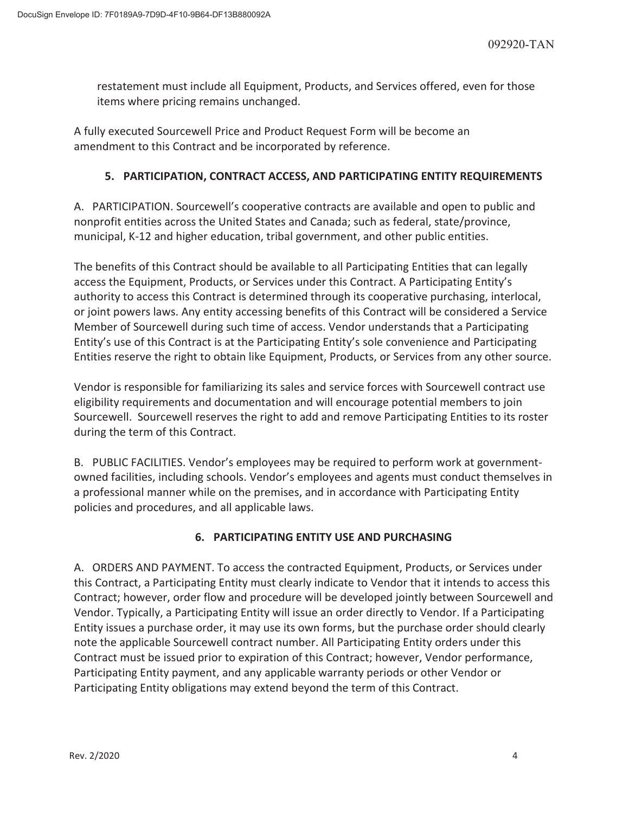restatement must include all Equipment, Products, and Services offered, even for those items where pricing remains unchanged.

A fully executed Sourcewell Price and Product Request Form will be become an amendment to this Contract and be incorporated by reference.

## **5. PARTICIPATION, CONTRACT ACCESS, AND PARTICIPATING ENTITY REQUIREMENTS**

A. PARTICIPATION. Sourcewell's cooperative contracts are available and open to public and nonprofit entities across the United States and Canada; such as federal, state/province, municipal, K-12 and higher education, tribal government, and other public entities.

The benefits of this Contract should be available to all Participating Entities that can legally access the Equipment, Products, or Services under this Contract. A Participating Entity's authority to access this Contract is determined through its cooperative purchasing, interlocal, or joint powers laws. Any entity accessing benefits of this Contract will be considered a Service Member of Sourcewell during such time of access. Vendor understands that a Participating Entity's use of this Contract is at the Participating Entity's sole convenience and Participating Entities reserve the right to obtain like Equipment, Products, or Services from any other source.

Vendor is responsible for familiarizing its sales and service forces with Sourcewell contract use eligibility requirements and documentation and will encourage potential members to join Sourcewell. Sourcewell reserves the right to add and remove Participating Entities to its roster during the term of this Contract.

B. PUBLIC FACILITIES. Vendor's employees may be required to perform work at governmentowned facilities, including schools. Vendor's employees and agents must conduct themselves in a professional manner while on the premises, and in accordance with Participating Entity policies and procedures, and all applicable laws.

# **6. PARTICIPATING ENTITY USE AND PURCHASING**

A. ORDERS AND PAYMENT. To access the contracted Equipment, Products, or Services under this Contract, a Participating Entity must clearly indicate to Vendor that it intends to access this Contract; however, order flow and procedure will be developed jointly between Sourcewell and Vendor. Typically, a Participating Entity will issue an order directly to Vendor. If a Participating Entity issues a purchase order, it may use its own forms, but the purchase order should clearly note the applicable Sourcewell contract number. All Participating Entity orders under this Contract must be issued prior to expiration of this Contract; however, Vendor performance, Participating Entity payment, and any applicable warranty periods or other Vendor or Participating Entity obligations may extend beyond the term of this Contract.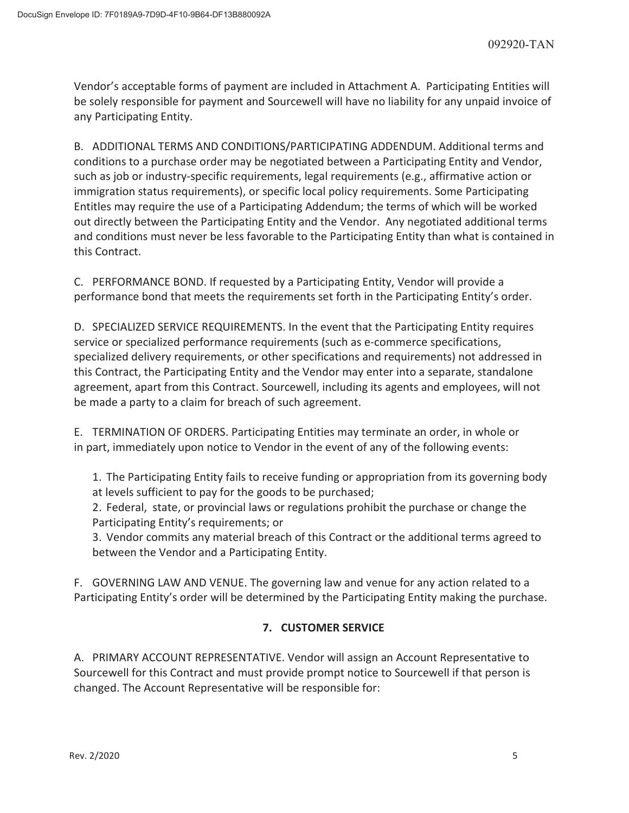Vendor's acceptable forms of payment are included in Attachment A. Participating Entities will be solely responsible for payment and Sourcewell will have no liability for any unpaid invoice of any Participating Entity.

B. ADDITIONAL TERMS AND CONDITIONS/PARTICIPATING ADDENDUM. Additional terms and conditions to a purchase order may be negotiated between a Participating Entity and Vendor, such as job or industry-specific requirements, legal requirements (e.g., affirmative action or immigration status requirements), or specific local policy requirements. Some Participating Entitles may require the use of a Participating Addendum; the terms of which will be worked out directly between the Participating Entity and the Vendor. Any negotiated additional terms and conditions must never be less favorable to the Participating Entity than what is contained in this Contract.

C. PERFORMANCE BOND. If requested by a Participating Entity, Vendor will provide a performance bond that meets the requirements set forth in the Participating Entity's order.

D. SPECIALIZED SERVICE REQUIREMENTS. In the event that the Participating Entity requires service or specialized performance requirements (such as e-commerce specifications, specialized delivery requirements, or other specifications and requirements) not addressed in this Contract, the Participating Entity and the Vendor may enter into a separate, standalone agreement, apart from this Contract. Sourcewell, including its agents and employees, will not be made a party to a claim for breach of such agreement.

E. TERMINATION OF ORDERS. Participating Entities may terminate an order, in whole or in part, immediately upon notice to Vendor in the event of any of the following events:

1. The Participating Entity fails to receive funding or appropriation from its governing body at levels sufficient to pay for the goods to be purchased;

2. Federal, state, or provincial laws or regulations prohibit the purchase or change the Participating Entity's requirements; or

3. Vendor commits any material breach of this Contract or the additional terms agreed to between the Vendor and a Participating Entity.

F. GOVERNING LAW AND VENUE. The governing law and venue for any action related to a Participating Entity's order will be determined by the Participating Entity making the purchase.

# **7. CUSTOMER SERVICE**

A. PRIMARY ACCOUNT REPRESENTATIVE. Vendor will assign an Account Representative to Sourcewell for this Contract and must provide prompt notice to Sourcewell if that person is changed. The Account Representative will be responsible for: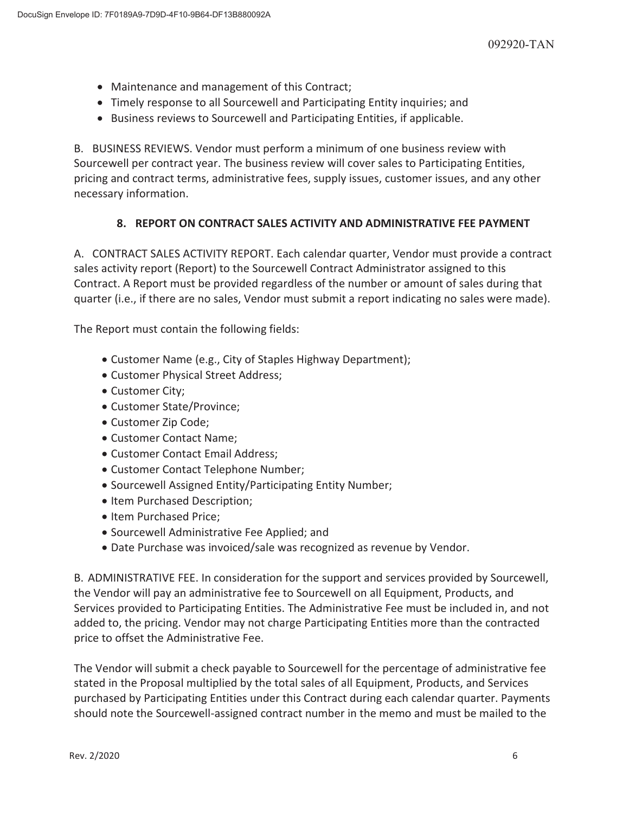- Maintenance and management of this Contract;
- Timely response to all Sourcewell and Participating Entity inquiries; and
- Business reviews to Sourcewell and Participating Entities, if applicable.

B. BUSINESS REVIEWS. Vendor must perform a minimum of one business review with Sourcewell per contract year. The business review will cover sales to Participating Entities, pricing and contract terms, administrative fees, supply issues, customer issues, and any other necessary information.

## **8. REPORT ON CONTRACT SALES ACTIVITY AND ADMINISTRATIVE FEE PAYMENT**

A. CONTRACT SALES ACTIVITY REPORT. Each calendar quarter, Vendor must provide a contract sales activity report (Report) to the Sourcewell Contract Administrator assigned to this Contract. A Report must be provided regardless of the number or amount of sales during that quarter (i.e., if there are no sales, Vendor must submit a report indicating no sales were made).

The Report must contain the following fields:

- Customer Name (e.g., City of Staples Highway Department);
- Customer Physical Street Address;
- Customer City;
- Customer State/Province;
- Customer Zip Code;
- Customer Contact Name:
- Customer Contact Email Address:
- Customer Contact Telephone Number;
- Sourcewell Assigned Entity/Participating Entity Number;
- Item Purchased Description;
- Item Purchased Price:
- Sourcewell Administrative Fee Applied; and
- Date Purchase was invoiced/sale was recognized as revenue by Vendor.

B. ADMINISTRATIVE FEE. In consideration for the support and services provided by Sourcewell, the Vendor will pay an administrative fee to Sourcewell on all Equipment, Products, and Services provided to Participating Entities. The Administrative Fee must be included in, and not added to, the pricing. Vendor may not charge Participating Entities more than the contracted price to offset the Administrative Fee.

The Vendor will submit a check payable to Sourcewell for the percentage of administrative fee stated in the Proposal multiplied by the total sales of all Equipment, Products, and Services purchased by Participating Entities under this Contract during each calendar quarter. Payments should note the Sourcewell-assigned contract number in the memo and must be mailed to the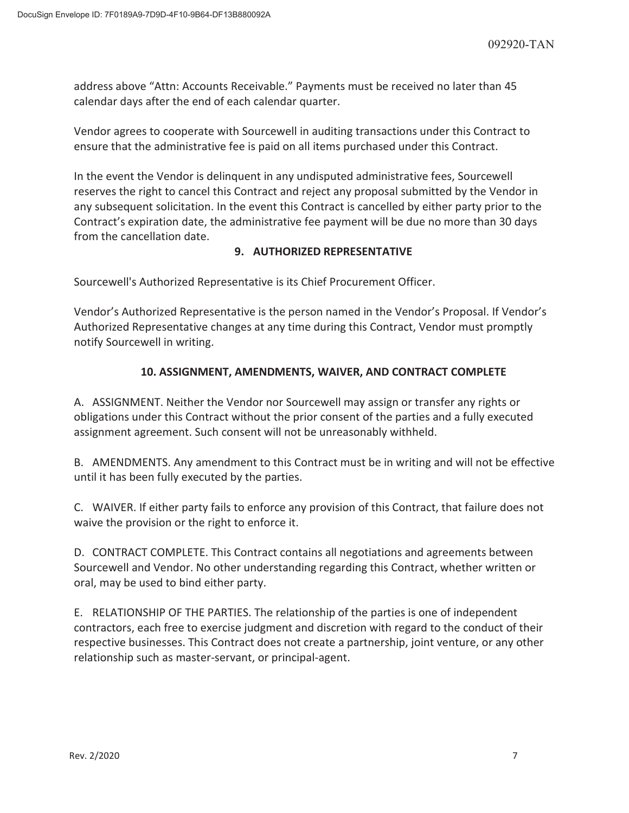address above "Attn: Accounts Receivable." Payments must be received no later than 45 calendar days after the end of each calendar quarter.

Vendor agrees to cooperate with Sourcewell in auditing transactions under this Contract to ensure that the administrative fee is paid on all items purchased under this Contract.

In the event the Vendor is delinquent in any undisputed administrative fees, Sourcewell reserves the right to cancel this Contract and reject any proposal submitted by the Vendor in any subsequent solicitation. In the event this Contract is cancelled by either party prior to the Contract's expiration date, the administrative fee payment will be due no more than 30 days from the cancellation date.

## **9. AUTHORIZED REPRESENTATIVE**

Sourcewell's Authorized Representative is its Chief Procurement Officer.

Vendor's Authorized Representative is the person named in the Vendor's Proposal. If Vendor's Authorized Representative changes at any time during this Contract, Vendor must promptly notify Sourcewell in writing.

## **10. ASSIGNMENT, AMENDMENTS, WAIVER, AND CONTRACT COMPLETE**

A. ASSIGNMENT. Neither the Vendor nor Sourcewell may assign or transfer any rights or obligations under this Contract without the prior consent of the parties and a fully executed assignment agreement. Such consent will not be unreasonably withheld.

B. AMENDMENTS. Any amendment to this Contract must be in writing and will not be effective until it has been fully executed by the parties.

C. WAIVER. If either party fails to enforce any provision of this Contract, that failure does not waive the provision or the right to enforce it.

D. CONTRACT COMPLETE. This Contract contains all negotiations and agreements between Sourcewell and Vendor. No other understanding regarding this Contract, whether written or oral, may be used to bind either party.

E. RELATIONSHIP OF THE PARTIES. The relationship of the parties is one of independent contractors, each free to exercise judgment and discretion with regard to the conduct of their respective businesses. This Contract does not create a partnership, joint venture, or any other relationship such as master-servant, or principal-agent.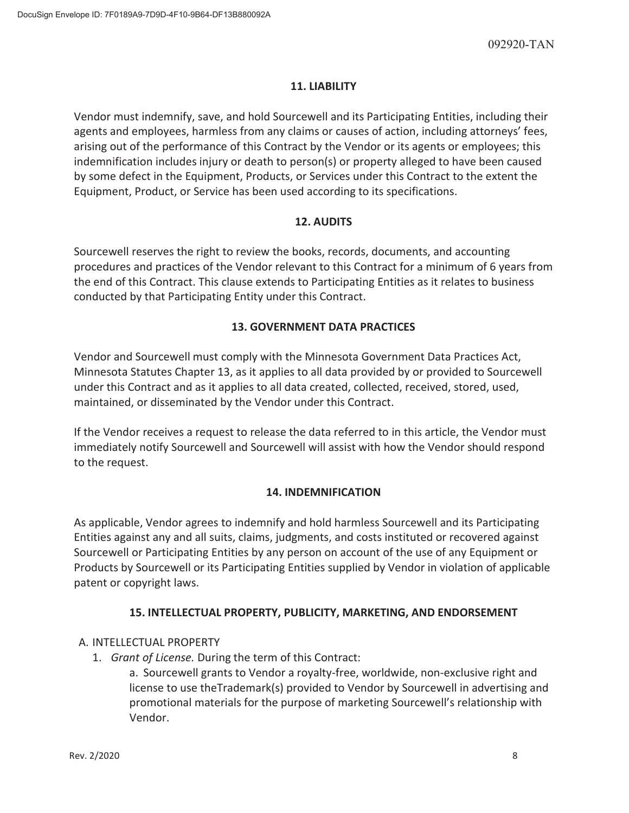## **11. LIABILITY**

Vendor must indemnify, save, and hold Sourcewell and its Participating Entities, including their agents and employees, harmless from any claims or causes of action, including attorneys' fees, arising out of the performance of this Contract by the Vendor or its agents or employees; this indemnification includes injury or death to person(s) or property alleged to have been caused by some defect in the Equipment, Products, or Services under this Contract to the extent the Equipment, Product, or Service has been used according to its specifications.

## **12. AUDITS**

Sourcewell reserves the right to review the books, records, documents, and accounting procedures and practices of the Vendor relevant to this Contract for a minimum of 6 years from the end of this Contract. This clause extends to Participating Entities as it relates to business conducted by that Participating Entity under this Contract.

## **13. GOVERNMENT DATA PRACTICES**

Vendor and Sourcewell must comply with the Minnesota Government Data Practices Act, Minnesota Statutes Chapter 13, as it applies to all data provided by or provided to Sourcewell under this Contract and as it applies to all data created, collected, received, stored, used, maintained, or disseminated by the Vendor under this Contract.

If the Vendor receives a request to release the data referred to in this article, the Vendor must immediately notify Sourcewell and Sourcewell will assist with how the Vendor should respond to the request.

## **14. INDEMNIFICATION**

As applicable, Vendor agrees to indemnify and hold harmless Sourcewell and its Participating Entities against any and all suits, claims, judgments, and costs instituted or recovered against Sourcewell or Participating Entities by any person on account of the use of any Equipment or Products by Sourcewell or its Participating Entities supplied by Vendor in violation of applicable patent or copyright laws.

## **15. INTELLECTUAL PROPERTY, PUBLICITY, MARKETING, AND ENDORSEMENT**

## A. INTELLECTUAL PROPERTY

1. *Grant of License.* During the term of this Contract:

a. Sourcewell grants to Vendor a royalty-free, worldwide, non-exclusive right and license to use theTrademark(s) provided to Vendor by Sourcewell in advertising and promotional materials for the purpose of marketing Sourcewell's relationship with Vendor.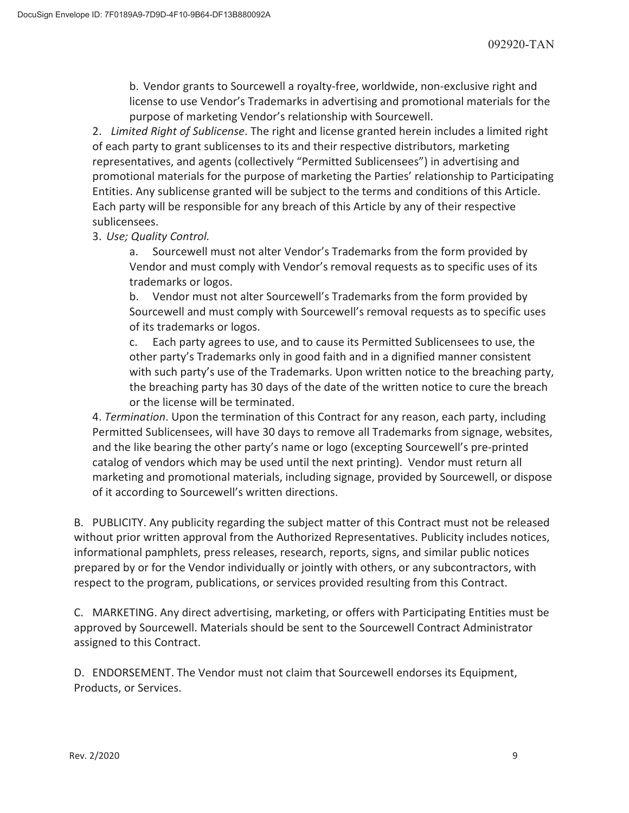b. Vendor grants to Sourcewell a royalty-free, worldwide, non-exclusive right and license to use Vendor's Trademarks in advertising and promotional materials for the purpose of marketing Vendor's relationship with Sourcewell.

2. *Limited Right of Sublicense*. The right and license granted herein includes a limited right of each party to grant sublicenses to its and their respective distributors, marketing representatives, and agents (collectively "Permitted Sublicensees") in advertising and promotional materials for the purpose of marketing the Parties' relationship to Participating Entities. Any sublicense granted will be subject to the terms and conditions of this Article. Each party will be responsible for any breach of this Article by any of their respective sublicensees.

3. *Use; Quality Control.* 

a. Sourcewell must not alter Vendor's Trademarks from the form provided by Vendor and must comply with Vendor's removal requests as to specific uses of its trademarks or logos.

b. Vendor must not alter Sourcewell's Trademarks from the form provided by Sourcewell and must comply with Sourcewell's removal requests as to specific uses of its trademarks or logos.

c. Each party agrees to use, and to cause its Permitted Sublicensees to use, the other party's Trademarks only in good faith and in a dignified manner consistent with such party's use of the Trademarks. Upon written notice to the breaching party, the breaching party has 30 days of the date of the written notice to cure the breach or the license will be terminated.

4. *Termination*. Upon the termination of this Contract for any reason, each party, including Permitted Sublicensees, will have 30 days to remove all Trademarks from signage, websites, and the like bearing the other party's name or logo (excepting Sourcewell's pre-printed catalog of vendors which may be used until the next printing). Vendor must return all marketing and promotional materials, including signage, provided by Sourcewell, or dispose of it according to Sourcewell's written directions.

B. PUBLICITY. Any publicity regarding the subject matter of this Contract must not be released without prior written approval from the Authorized Representatives. Publicity includes notices, informational pamphlets, press releases, research, reports, signs, and similar public notices prepared by or for the Vendor individually or jointly with others, or any subcontractors, with respect to the program, publications, or services provided resulting from this Contract.

C. MARKETING. Any direct advertising, marketing, or offers with Participating Entities must be approved by Sourcewell. Materials should be sent to the Sourcewell Contract Administrator assigned to this Contract.

D. ENDORSEMENT. The Vendor must not claim that Sourcewell endorses its Equipment, Products, or Services.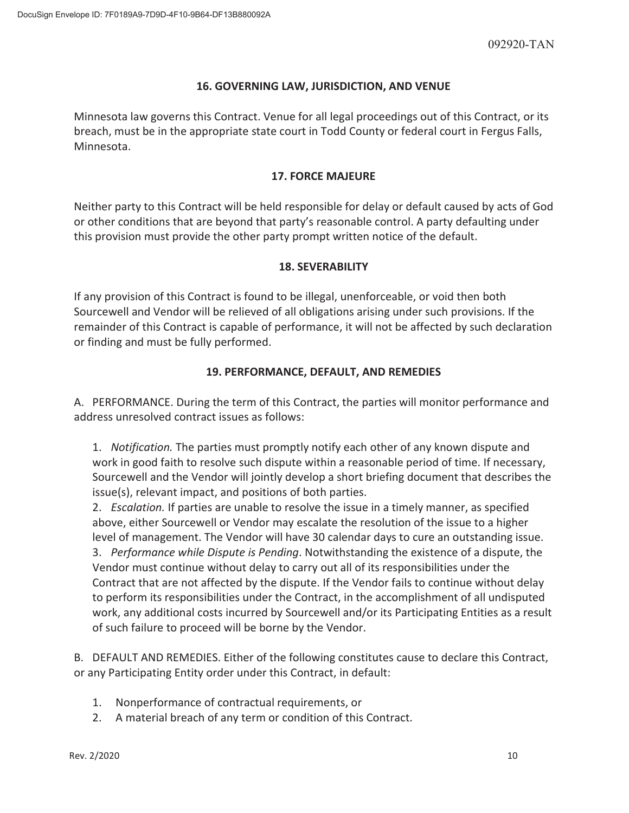## **16. GOVERNING LAW, JURISDICTION, AND VENUE**

Minnesota law governs this Contract. Venue for all legal proceedings out of this Contract, or its breach, must be in the appropriate state court in Todd County or federal court in Fergus Falls, Minnesota.

## **17. FORCE MAJEURE**

Neither party to this Contract will be held responsible for delay or default caused by acts of God or other conditions that are beyond that party's reasonable control. A party defaulting under this provision must provide the other party prompt written notice of the default.

## **18. SEVERABILITY**

If any provision of this Contract is found to be illegal, unenforceable, or void then both Sourcewell and Vendor will be relieved of all obligations arising under such provisions. If the remainder of this Contract is capable of performance, it will not be affected by such declaration or finding and must be fully performed.

## **19. PERFORMANCE, DEFAULT, AND REMEDIES**

A. PERFORMANCE. During the term of this Contract, the parties will monitor performance and address unresolved contract issues as follows:

1. *Notification.* The parties must promptly notify each other of any known dispute and work in good faith to resolve such dispute within a reasonable period of time. If necessary, Sourcewell and the Vendor will jointly develop a short briefing document that describes the issue(s), relevant impact, and positions of both parties.

2. *Escalation.* If parties are unable to resolve the issue in a timely manner, as specified above, either Sourcewell or Vendor may escalate the resolution of the issue to a higher level of management. The Vendor will have 30 calendar days to cure an outstanding issue. 3. *Performance while Dispute is Pending*. Notwithstanding the existence of a dispute, the Vendor must continue without delay to carry out all of its responsibilities under the Contract that are not affected by the dispute. If the Vendor fails to continue without delay to perform its responsibilities under the Contract, in the accomplishment of all undisputed work, any additional costs incurred by Sourcewell and/or its Participating Entities as a result of such failure to proceed will be borne by the Vendor.

B. DEFAULT AND REMEDIES. Either of the following constitutes cause to declare this Contract, or any Participating Entity order under this Contract, in default:

- 1. Nonperformance of contractual requirements, or
- 2. A material breach of any term or condition of this Contract.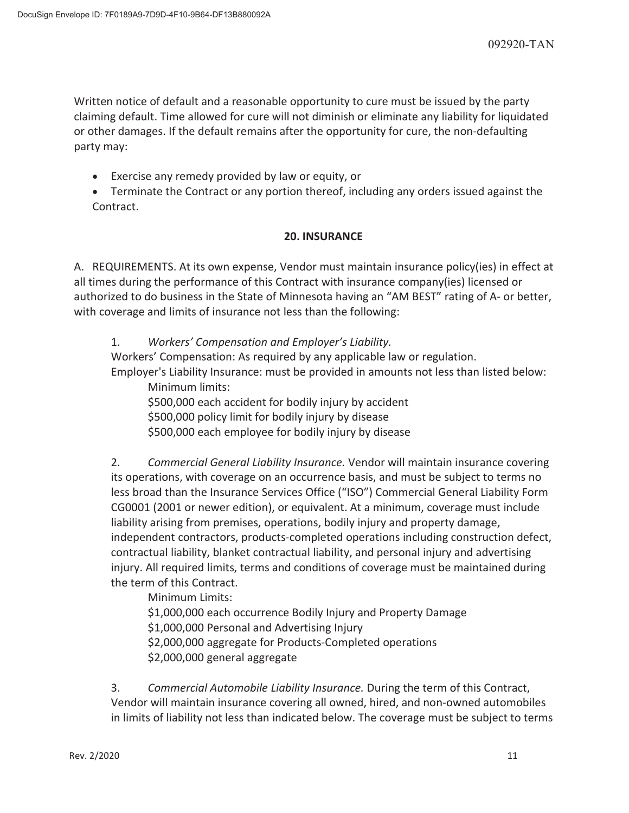Written notice of default and a reasonable opportunity to cure must be issued by the party claiming default. Time allowed for cure will not diminish or eliminate any liability for liquidated or other damages. If the default remains after the opportunity for cure, the non-defaulting party may:

- **Exercise any remedy provided by law or equity, or**
- Terminate the Contract or any portion thereof, including any orders issued against the Contract.

## **20. INSURANCE**

A. REQUIREMENTS. At its own expense, Vendor must maintain insurance policy(ies) in effect at all times during the performance of this Contract with insurance company(ies) licensed or authorized to do business in the State of Minnesota having an "AM BEST" rating of A- or better, with coverage and limits of insurance not less than the following:

1. *Workers' Compensation and Employer's Liability.*

Workers' Compensation: As required by any applicable law or regulation. Employer's Liability Insurance: must be provided in amounts not less than listed below:

Minimum limits:

\$500,000 each accident for bodily injury by accident \$500,000 policy limit for bodily injury by disease \$500,000 each employee for bodily injury by disease

2. *Commercial General Liability Insurance.* Vendor will maintain insurance covering its operations, with coverage on an occurrence basis, and must be subject to terms no less broad than the Insurance Services Office ("ISO") Commercial General Liability Form CG0001 (2001 or newer edition), or equivalent. At a minimum, coverage must include liability arising from premises, operations, bodily injury and property damage, independent contractors, products-completed operations including construction defect, contractual liability, blanket contractual liability, and personal injury and advertising injury. All required limits, terms and conditions of coverage must be maintained during the term of this Contract.

 Minimum Limits: \$1,000,000 each occurrence Bodily Injury and Property Damage \$1,000,000 Personal and Advertising Injury \$2,000,000 aggregate for Products-Completed operations \$2,000,000 general aggregate

3. *Commercial Automobile Liability Insurance.* During the term of this Contract, Vendor will maintain insurance covering all owned, hired, and non-owned automobiles in limits of liability not less than indicated below. The coverage must be subject to terms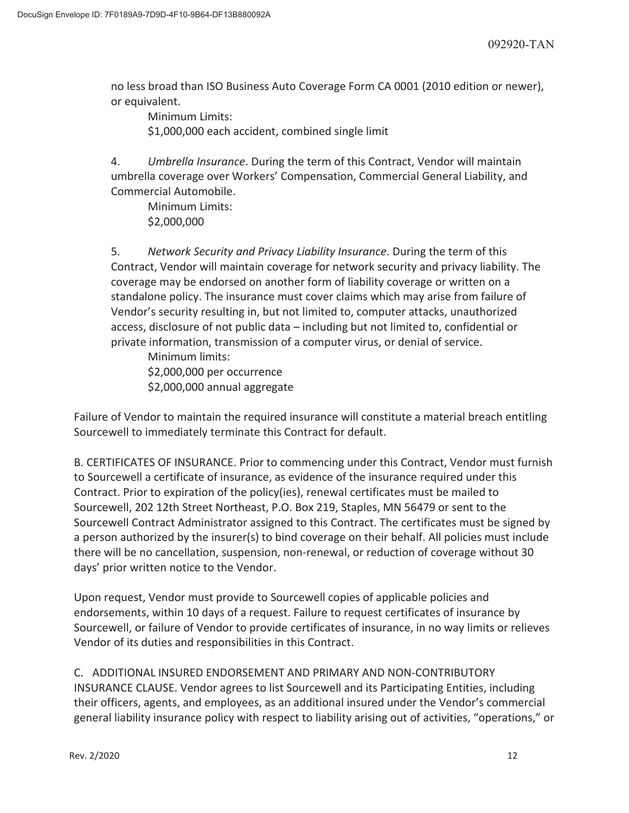no less broad than ISO Business Auto Coverage Form CA 0001 (2010 edition or newer), or equivalent.

 Minimum Limits: \$1,000,000 each accident, combined single limit

4. *Umbrella Insurance*. During the term of this Contract, Vendor will maintain umbrella coverage over Workers' Compensation, Commercial General Liability, and Commercial Automobile.

 Minimum Limits: \$2,000,000

5. *Network Security and Privacy Liability Insurance*. During the term of this Contract, Vendor will maintain coverage for network security and privacy liability. The coverage may be endorsed on another form of liability coverage or written on a standalone policy. The insurance must cover claims which may arise from failure of Vendor's security resulting in, but not limited to, computer attacks, unauthorized access, disclosure of not public data – including but not limited to, confidential or private information, transmission of a computer virus, or denial of service.

 Minimum limits: \$2,000,000 per occurrence \$2,000,000 annual aggregate

Failure of Vendor to maintain the required insurance will constitute a material breach entitling Sourcewell to immediately terminate this Contract for default.

B. CERTIFICATES OF INSURANCE. Prior to commencing under this Contract, Vendor must furnish to Sourcewell a certificate of insurance, as evidence of the insurance required under this Contract. Prior to expiration of the policy(ies), renewal certificates must be mailed to Sourcewell, 202 12th Street Northeast, P.O. Box 219, Staples, MN 56479 or sent to the Sourcewell Contract Administrator assigned to this Contract. The certificates must be signed by a person authorized by the insurer(s) to bind coverage on their behalf. All policies must include there will be no cancellation, suspension, non-renewal, or reduction of coverage without 30 days' prior written notice to the Vendor.

Upon request, Vendor must provide to Sourcewell copies of applicable policies and endorsements, within 10 days of a request. Failure to request certificates of insurance by Sourcewell, or failure of Vendor to provide certificates of insurance, in no way limits or relieves Vendor of its duties and responsibilities in this Contract.

C. ADDITIONAL INSURED ENDORSEMENT AND PRIMARY AND NON-CONTRIBUTORY INSURANCE CLAUSE. Vendor agrees to list Sourcewell and its Participating Entities, including their officers, agents, and employees, as an additional insured under the Vendor's commercial general liability insurance policy with respect to liability arising out of activities, "operations," or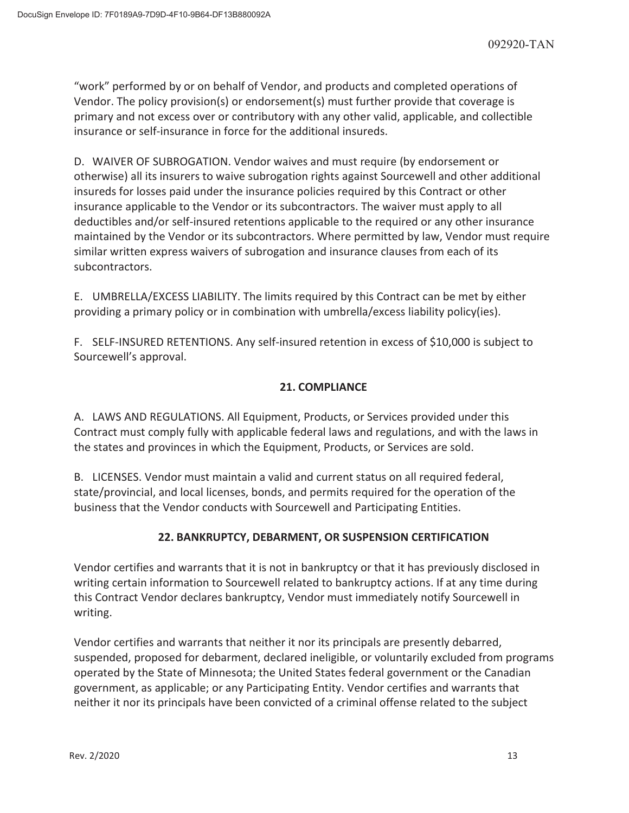"work" performed by or on behalf of Vendor, and products and completed operations of Vendor. The policy provision(s) or endorsement(s) must further provide that coverage is primary and not excess over or contributory with any other valid, applicable, and collectible insurance or self-insurance in force for the additional insureds.

D. WAIVER OF SUBROGATION. Vendor waives and must require (by endorsement or otherwise) all its insurers to waive subrogation rights against Sourcewell and other additional insureds for losses paid under the insurance policies required by this Contract or other insurance applicable to the Vendor or its subcontractors. The waiver must apply to all deductibles and/or self-insured retentions applicable to the required or any other insurance maintained by the Vendor or its subcontractors. Where permitted by law, Vendor must require similar written express waivers of subrogation and insurance clauses from each of its subcontractors.

E. UMBRELLA/EXCESS LIABILITY. The limits required by this Contract can be met by either providing a primary policy or in combination with umbrella/excess liability policy(ies).

F. SELF-INSURED RETENTIONS. Any self-insured retention in excess of \$10,000 is subject to Sourcewell's approval.

## **21. COMPLIANCE**

A. LAWS AND REGULATIONS. All Equipment, Products, or Services provided under this Contract must comply fully with applicable federal laws and regulations, and with the laws in the states and provinces in which the Equipment, Products, or Services are sold.

B. LICENSES. Vendor must maintain a valid and current status on all required federal, state/provincial, and local licenses, bonds, and permits required for the operation of the business that the Vendor conducts with Sourcewell and Participating Entities.

## **22. BANKRUPTCY, DEBARMENT, OR SUSPENSION CERTIFICATION**

Vendor certifies and warrants that it is not in bankruptcy or that it has previously disclosed in writing certain information to Sourcewell related to bankruptcy actions. If at any time during this Contract Vendor declares bankruptcy, Vendor must immediately notify Sourcewell in writing.

Vendor certifies and warrants that neither it nor its principals are presently debarred, suspended, proposed for debarment, declared ineligible, or voluntarily excluded from programs operated by the State of Minnesota; the United States federal government or the Canadian government, as applicable; or any Participating Entity. Vendor certifies and warrants that neither it nor its principals have been convicted of a criminal offense related to the subject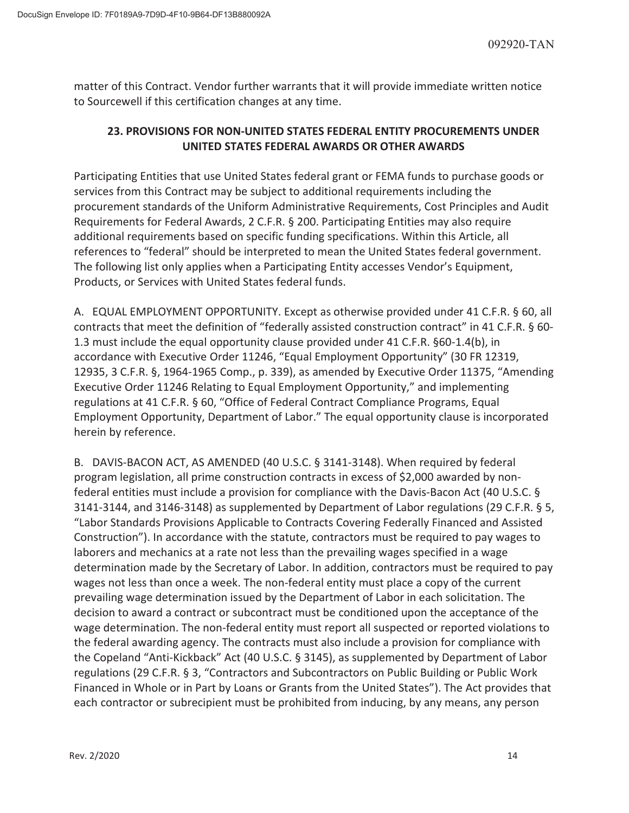matter of this Contract. Vendor further warrants that it will provide immediate written notice to Sourcewell if this certification changes at any time.

## **23. PROVISIONS FOR NON-UNITED STATES FEDERAL ENTITY PROCUREMENTS UNDER UNITED STATES FEDERAL AWARDS OR OTHER AWARDS**

Participating Entities that use United States federal grant or FEMA funds to purchase goods or services from this Contract may be subject to additional requirements including the procurement standards of the Uniform Administrative Requirements, Cost Principles and Audit Requirements for Federal Awards, 2 C.F.R. § 200. Participating Entities may also require additional requirements based on specific funding specifications. Within this Article, all references to "federal" should be interpreted to mean the United States federal government. The following list only applies when a Participating Entity accesses Vendor's Equipment, Products, or Services with United States federal funds.

A. EQUAL EMPLOYMENT OPPORTUNITY. Except as otherwise provided under 41 C.F.R. § 60, all contracts that meet the definition of "federally assisted construction contract" in 41 C.F.R. § 60- 1.3 must include the equal opportunity clause provided under 41 C.F.R. §60-1.4(b), in accordance with Executive Order 11246, "Equal Employment Opportunity" (30 FR 12319, 12935, 3 C.F.R. §, 1964-1965 Comp., p. 339), as amended by Executive Order 11375, "Amending Executive Order 11246 Relating to Equal Employment Opportunity," and implementing regulations at 41 C.F.R. § 60, "Office of Federal Contract Compliance Programs, Equal Employment Opportunity, Department of Labor." The equal opportunity clause is incorporated herein by reference.

B. DAVIS-BACON ACT, AS AMENDED (40 U.S.C. § 3141-3148). When required by federal program legislation, all prime construction contracts in excess of \$2,000 awarded by nonfederal entities must include a provision for compliance with the Davis-Bacon Act (40 U.S.C. § 3141-3144, and 3146-3148) as supplemented by Department of Labor regulations (29 C.F.R. § 5, "Labor Standards Provisions Applicable to Contracts Covering Federally Financed and Assisted Construction"). In accordance with the statute, contractors must be required to pay wages to laborers and mechanics at a rate not less than the prevailing wages specified in a wage determination made by the Secretary of Labor. In addition, contractors must be required to pay wages not less than once a week. The non-federal entity must place a copy of the current prevailing wage determination issued by the Department of Labor in each solicitation. The decision to award a contract or subcontract must be conditioned upon the acceptance of the wage determination. The non-federal entity must report all suspected or reported violations to the federal awarding agency. The contracts must also include a provision for compliance with the Copeland "Anti-Kickback" Act (40 U.S.C. § 3145), as supplemented by Department of Labor regulations (29 C.F.R. § 3, "Contractors and Subcontractors on Public Building or Public Work Financed in Whole or in Part by Loans or Grants from the United States"). The Act provides that each contractor or subrecipient must be prohibited from inducing, by any means, any person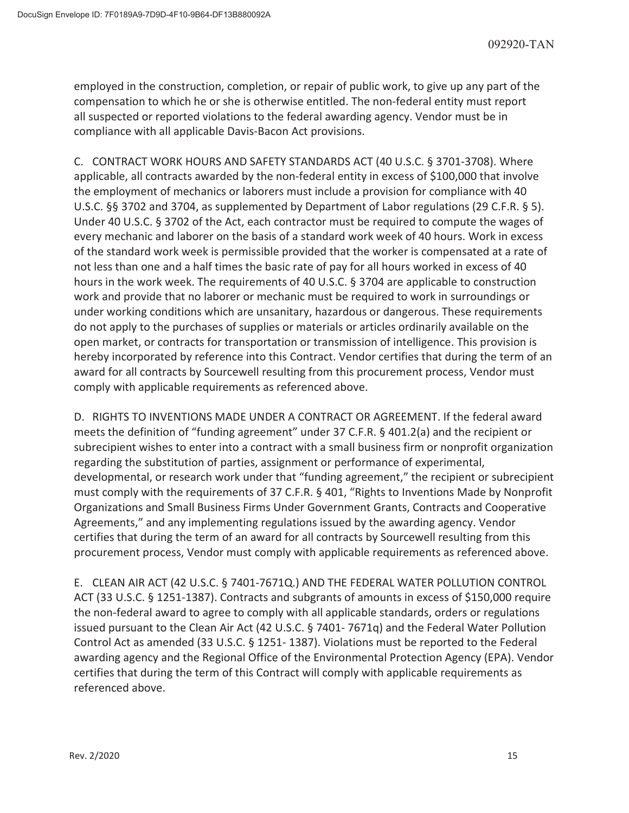employed in the construction, completion, or repair of public work, to give up any part of the compensation to which he or she is otherwise entitled. The non-federal entity must report all suspected or reported violations to the federal awarding agency. Vendor must be in compliance with all applicable Davis-Bacon Act provisions.

C. CONTRACT WORK HOURS AND SAFETY STANDARDS ACT (40 U.S.C. § 3701-3708). Where applicable, all contracts awarded by the non-federal entity in excess of \$100,000 that involve the employment of mechanics or laborers must include a provision for compliance with 40 U.S.C. §§ 3702 and 3704, as supplemented by Department of Labor regulations (29 C.F.R. § 5). Under 40 U.S.C. § 3702 of the Act, each contractor must be required to compute the wages of every mechanic and laborer on the basis of a standard work week of 40 hours. Work in excess of the standard work week is permissible provided that the worker is compensated at a rate of not less than one and a half times the basic rate of pay for all hours worked in excess of 40 hours in the work week. The requirements of 40 U.S.C. § 3704 are applicable to construction work and provide that no laborer or mechanic must be required to work in surroundings or under working conditions which are unsanitary, hazardous or dangerous. These requirements do not apply to the purchases of supplies or materials or articles ordinarily available on the open market, or contracts for transportation or transmission of intelligence. This provision is hereby incorporated by reference into this Contract. Vendor certifies that during the term of an award for all contracts by Sourcewell resulting from this procurement process, Vendor must comply with applicable requirements as referenced above.

D. RIGHTS TO INVENTIONS MADE UNDER A CONTRACT OR AGREEMENT. If the federal award meets the definition of "funding agreement" under 37 C.F.R. § 401.2(a) and the recipient or subrecipient wishes to enter into a contract with a small business firm or nonprofit organization regarding the substitution of parties, assignment or performance of experimental, developmental, or research work under that "funding agreement," the recipient or subrecipient must comply with the requirements of 37 C.F.R. § 401, "Rights to Inventions Made by Nonprofit Organizations and Small Business Firms Under Government Grants, Contracts and Cooperative Agreements," and any implementing regulations issued by the awarding agency. Vendor certifies that during the term of an award for all contracts by Sourcewell resulting from this procurement process, Vendor must comply with applicable requirements as referenced above.

E. CLEAN AIR ACT (42 U.S.C. § 7401-7671Q.) AND THE FEDERAL WATER POLLUTION CONTROL ACT (33 U.S.C. § 1251-1387). Contracts and subgrants of amounts in excess of \$150,000 require the non-federal award to agree to comply with all applicable standards, orders or regulations issued pursuant to the Clean Air Act (42 U.S.C. § 7401- 7671q) and the Federal Water Pollution Control Act as amended (33 U.S.C. § 1251- 1387). Violations must be reported to the Federal awarding agency and the Regional Office of the Environmental Protection Agency (EPA). Vendor certifies that during the term of this Contract will comply with applicable requirements as referenced above.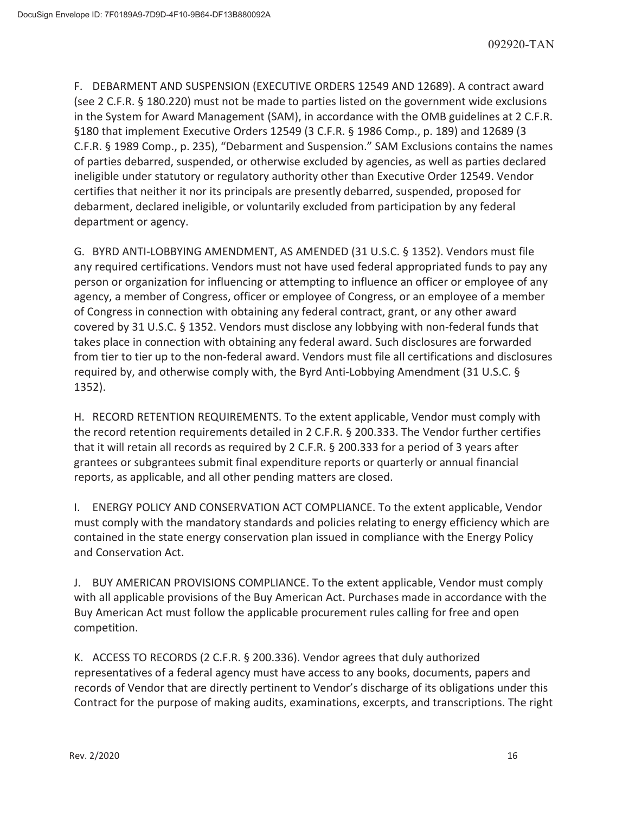F. DEBARMENT AND SUSPENSION (EXECUTIVE ORDERS 12549 AND 12689). A contract award (see 2 C.F.R. § 180.220) must not be made to parties listed on the government wide exclusions in the System for Award Management (SAM), in accordance with the OMB guidelines at 2 C.F.R. §180 that implement Executive Orders 12549 (3 C.F.R. § 1986 Comp., p. 189) and 12689 (3 C.F.R. § 1989 Comp., p. 235), "Debarment and Suspension." SAM Exclusions contains the names of parties debarred, suspended, or otherwise excluded by agencies, as well as parties declared ineligible under statutory or regulatory authority other than Executive Order 12549. Vendor certifies that neither it nor its principals are presently debarred, suspended, proposed for debarment, declared ineligible, or voluntarily excluded from participation by any federal department or agency.

G. BYRD ANTI-LOBBYING AMENDMENT, AS AMENDED (31 U.S.C. § 1352). Vendors must file any required certifications. Vendors must not have used federal appropriated funds to pay any person or organization for influencing or attempting to influence an officer or employee of any agency, a member of Congress, officer or employee of Congress, or an employee of a member of Congress in connection with obtaining any federal contract, grant, or any other award covered by 31 U.S.C. § 1352. Vendors must disclose any lobbying with non-federal funds that takes place in connection with obtaining any federal award. Such disclosures are forwarded from tier to tier up to the non-federal award. Vendors must file all certifications and disclosures required by, and otherwise comply with, the Byrd Anti-Lobbying Amendment (31 U.S.C. § 1352).

H. RECORD RETENTION REQUIREMENTS. To the extent applicable, Vendor must comply with the record retention requirements detailed in 2 C.F.R. § 200.333. The Vendor further certifies that it will retain all records as required by 2 C.F.R. § 200.333 for a period of 3 years after grantees or subgrantees submit final expenditure reports or quarterly or annual financial reports, as applicable, and all other pending matters are closed.

I. ENERGY POLICY AND CONSERVATION ACT COMPLIANCE. To the extent applicable, Vendor must comply with the mandatory standards and policies relating to energy efficiency which are contained in the state energy conservation plan issued in compliance with the Energy Policy and Conservation Act.

J. BUY AMERICAN PROVISIONS COMPLIANCE. To the extent applicable, Vendor must comply with all applicable provisions of the Buy American Act. Purchases made in accordance with the Buy American Act must follow the applicable procurement rules calling for free and open competition.

K. ACCESS TO RECORDS (2 C.F.R. § 200.336). Vendor agrees that duly authorized representatives of a federal agency must have access to any books, documents, papers and records of Vendor that are directly pertinent to Vendor's discharge of its obligations under this Contract for the purpose of making audits, examinations, excerpts, and transcriptions. The right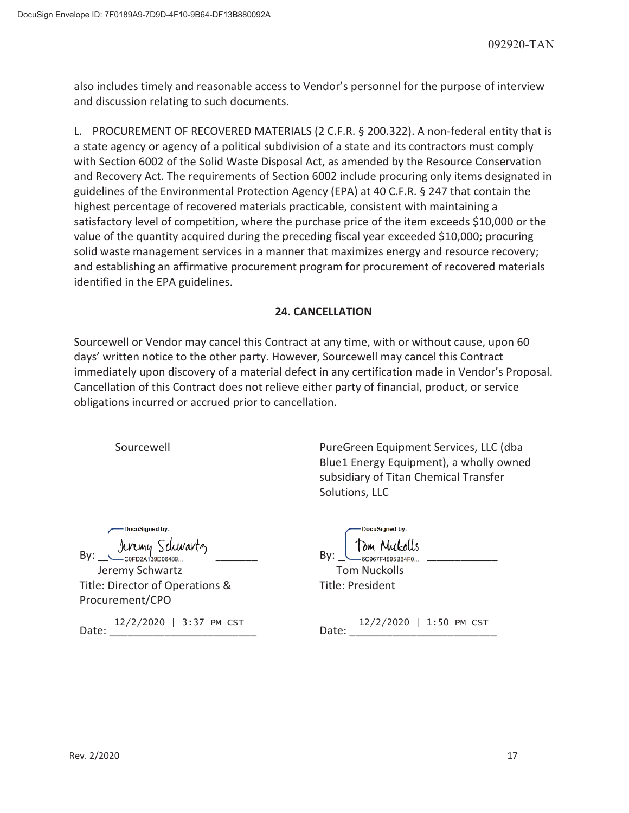also includes timely and reasonable access to Vendor's personnel for the purpose of interview and discussion relating to such documents.

L. PROCUREMENT OF RECOVERED MATERIALS (2 C.F.R. § 200.322). A non-federal entity that is a state agency or agency of a political subdivision of a state and its contractors must comply with Section 6002 of the Solid Waste Disposal Act, as amended by the Resource Conservation and Recovery Act. The requirements of Section 6002 include procuring only items designated in guidelines of the Environmental Protection Agency (EPA) at 40 C.F.R. § 247 that contain the highest percentage of recovered materials practicable, consistent with maintaining a satisfactory level of competition, where the purchase price of the item exceeds \$10,000 or the value of the quantity acquired during the preceding fiscal year exceeded \$10,000; procuring solid waste management services in a manner that maximizes energy and resource recovery; and establishing an affirmative procurement program for procurement of recovered materials identified in the EPA guidelines.

## **24. CANCELLATION**

Sourcewell or Vendor may cancel this Contract at any time, with or without cause, upon 60 days' written notice to the other party. However, Sourcewell may cancel this Contract immediately upon discovery of a material defect in any certification made in Vendor's Proposal. Cancellation of this Contract does not relieve either party of financial, product, or service obligations incurred or accrued prior to cancellation.

Sourcewell PureGreen Equipment Services, LLC (dba Blue1 Energy Equipment), a wholly owned subsidiary of Titan Chemical Transfer Solutions, LLC

| DocuSigned by: |                 |  |
|----------------|-----------------|--|
|                | Jeremy Schwartz |  |
|                | C0FD2A139D06489 |  |

Jeremy Schwartz Title: Director of Operations & Procurement/CPO

Date: 12/2/2020 | 3:37 PM CST Date: 12/2/2020 | 1:50 PM CST Date:

| DocuSigned by:                              | DocuSigned by:                           |
|---------------------------------------------|------------------------------------------|
| Jeremy Schwartz<br>- COFD2A139D06489<br>Bv: | Tom Muckolls<br>— 60967F4895B84F0<br>Bv: |
| Jeremy Schwartz                             | <b>Tom Nuckolls</b>                      |
| Title: Director of Operations &             | Title: President                         |

| na+a: | $12/2/2020$   1:50 PM CST |  |  |
|-------|---------------------------|--|--|
|       |                           |  |  |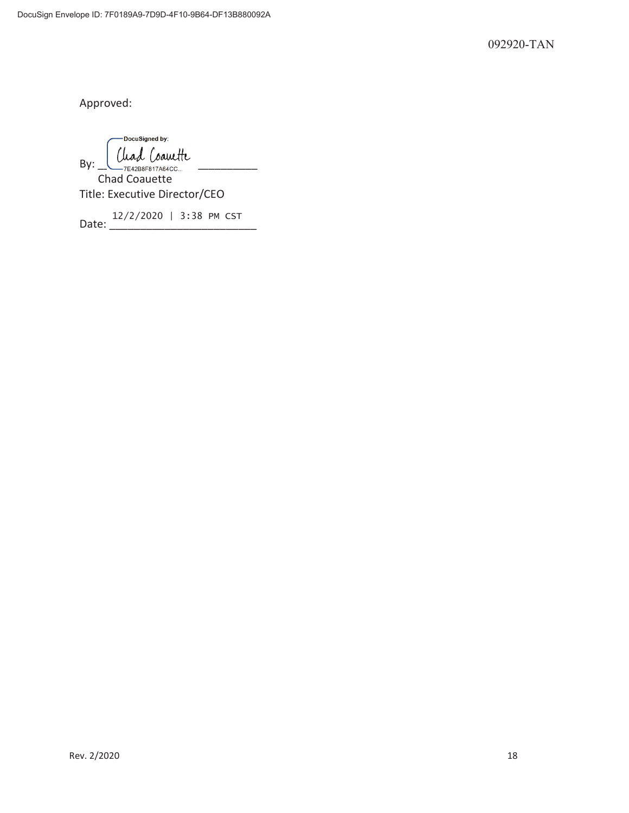092920-TAN

Approved:

DocuSigned by:  $By: \underline{\bigcup_{\mathcal{T} \in 42B8F817A64CC...}}$ Chad Coauette Title: Executive Director/CEO

Date: 12/2/2020 | 3:38 PM CST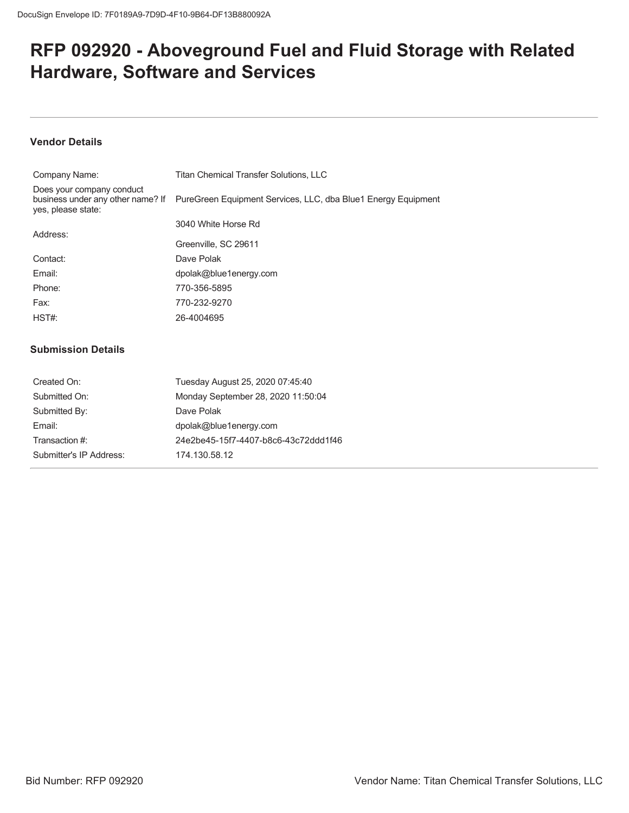# **RFP 092920 - Aboveground Fuel and Fluid Storage with Related Hardware, Software and Services**

## **Vendor Details**

| Company Name:                                   | <b>Titan Chemical Transfer Solutions, LLC</b>                                                   |
|-------------------------------------------------|-------------------------------------------------------------------------------------------------|
| Does your company conduct<br>yes, please state: | business under any other name? If PureGreen Equipment Services, LLC, dba Blue1 Energy Equipment |
|                                                 | 3040 White Horse Rd                                                                             |
| Address:                                        | Greenville, SC 29611                                                                            |
| Contact:                                        | Dave Polak                                                                                      |
| Email:                                          | dpolak@blue1energy.com                                                                          |
| Phone:                                          | 770-356-5895                                                                                    |
| Fax:                                            | 770-232-9270                                                                                    |
| HST#                                            | 26-4004695                                                                                      |
|                                                 |                                                                                                 |

#### **Submission Details**

| Created On:             | Tuesday August 25, 2020 07:45:40     |
|-------------------------|--------------------------------------|
| Submitted On:           | Monday September 28, 2020 11:50:04   |
| Submitted By:           | Dave Polak                           |
| Fmail:                  | dpolak@blue1energy.com               |
| Transaction #:          | 24e2be45-15f7-4407-b8c6-43c72ddd1f46 |
| Submitter's IP Address: | 174.130.58.12                        |
|                         |                                      |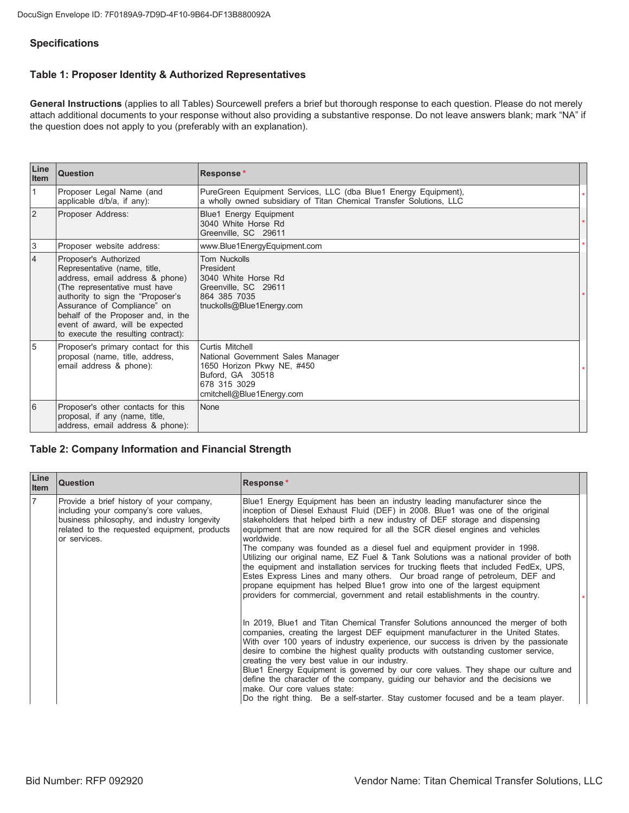#### **Specifications**

#### Table 1: Proposer Identity & Authorized Representatives

General Instructions (applies to all Tables) Sourcewell prefers a brief but thorough response to each question. Please do not merely attach additional documents to your response without also providing a substantive response. Do not leave answers blank; mark "NA" if the question does not apply to you (preferably with an explanation).

| Line<br>Item   | <b>Question</b>                                                                                                                                                                                                                                                                                                | Response*                                                                                                                                           |  |
|----------------|----------------------------------------------------------------------------------------------------------------------------------------------------------------------------------------------------------------------------------------------------------------------------------------------------------------|-----------------------------------------------------------------------------------------------------------------------------------------------------|--|
| $\vert$ 1      | Proposer Legal Name (and<br>applicable d/b/a, if any):                                                                                                                                                                                                                                                         | PureGreen Equipment Services, LLC (dba Blue1 Energy Equipment),<br>a wholly owned subsidiary of Titan Chemical Transfer Solutions, LLC              |  |
| $\overline{2}$ | Proposer Address:                                                                                                                                                                                                                                                                                              | Blue1 Energy Equipment<br>3040 White Horse Rd<br>Greenville, SC 29611                                                                               |  |
| $\sqrt{3}$     | Proposer website address:                                                                                                                                                                                                                                                                                      | www.Blue1EnergyEquipment.com                                                                                                                        |  |
| $\overline{4}$ | Proposer's Authorized<br>Representative (name, title,<br>address, email address & phone)<br>(The representative must have<br>authority to sign the "Proposer's<br>Assurance of Compliance" on<br>behalf of the Proposer and, in the<br>event of award, will be expected<br>to execute the resulting contract): | <b>Tom Nuckolls</b><br>President<br>3040 White Horse Rd<br>Greenville, SC 29611<br>864 385 7035<br>tnuckolls@Blue1Energy.com                        |  |
| 5              | Proposer's primary contact for this<br>proposal (name, title, address,<br>email address & phone):                                                                                                                                                                                                              | Curtis Mitchell<br>National Government Sales Manager<br>1650 Horizon Pkwy NE, #450<br>Buford, GA 30518<br>678 315 3029<br>cmitchell@Blue1Energy.com |  |
| 6              | Proposer's other contacts for this<br>proposal, if any (name, title,<br>address, email address & phone):                                                                                                                                                                                                       | None                                                                                                                                                |  |

#### **Table 2: Company Information and Financial Strength**

| Line<br><b>Item</b> | <b>Question</b>                                                                                                                                                                                  | <b>Response*</b>                                                                                                                                                                                                                                                                                                                                                                                                                                                                                                                                                                                                                                                                                                                                                                                                                                                                                                                         |  |
|---------------------|--------------------------------------------------------------------------------------------------------------------------------------------------------------------------------------------------|------------------------------------------------------------------------------------------------------------------------------------------------------------------------------------------------------------------------------------------------------------------------------------------------------------------------------------------------------------------------------------------------------------------------------------------------------------------------------------------------------------------------------------------------------------------------------------------------------------------------------------------------------------------------------------------------------------------------------------------------------------------------------------------------------------------------------------------------------------------------------------------------------------------------------------------|--|
| 17                  | Provide a brief history of your company,<br>including your company's core values,<br>business philosophy, and industry longevity<br>related to the requested equipment, products<br>or services. | Blue1 Energy Equipment has been an industry leading manufacturer since the<br>inception of Diesel Exhaust Fluid (DEF) in 2008. Blue1 was one of the original<br>stakeholders that helped birth a new industry of DEF storage and dispensing<br>equipment that are now required for all the SCR diesel engines and vehicles<br>worldwide.<br>The company was founded as a diesel fuel and equipment provider in 1998.<br>Utilizing our original name, EZ Fuel & Tank Solutions was a national provider of both<br>the equipment and installation services for trucking fleets that included FedEx, UPS,<br>Estes Express Lines and many others. Our broad range of petroleum, DEF and<br>propane equipment has helped Blue1 grow into one of the largest equipment<br>providers for commercial, government and retail establishments in the country.<br>In 2019, Blue1 and Titan Chemical Transfer Solutions announced the merger of both |  |
|                     |                                                                                                                                                                                                  | companies, creating the largest DEF equipment manufacturer in the United States.<br>With over 100 years of industry experience, our success is driven by the passionate<br>desire to combine the highest quality products with outstanding customer service,<br>creating the very best value in our industry.<br>Blue1 Energy Equipment is governed by our core values. They shape our culture and<br>define the character of the company, guiding our behavior and the decisions we<br>make. Our core values state:<br>Do the right thing. Be a self-starter. Stay customer focused and be a team player.                                                                                                                                                                                                                                                                                                                               |  |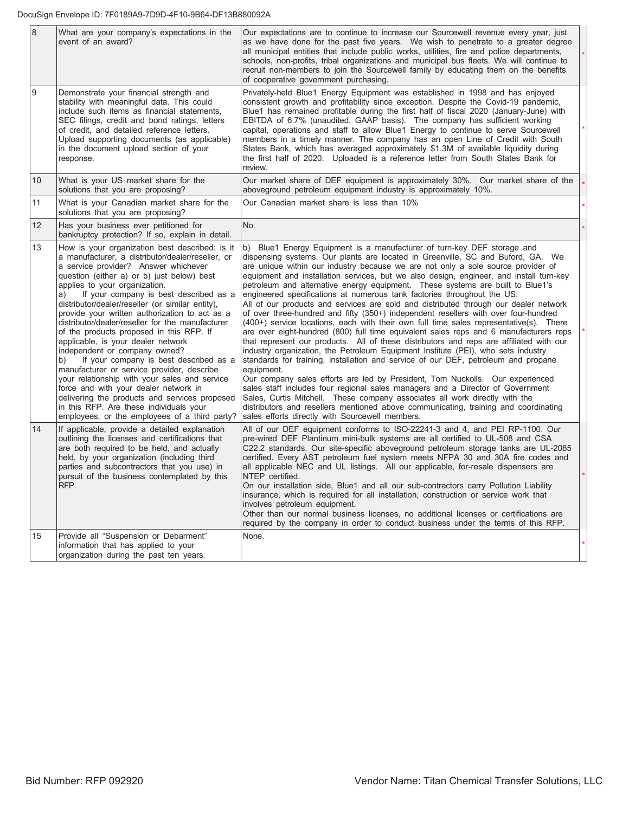DocuSign Envelope ID: 7F0189A9-7D9D-4F10-9B64-DF13B880092A

| $\overline{8}$  | What are your company's expectations in the<br>event of an award?                                                                                                                                                                                                                                                                                                                                                                                                                                                                                                                                                                                                                                                                                                                                                                                                                            | Our expectations are to continue to increase our Sourcewell revenue every year, just<br>as we have done for the past five years. We wish to penetrate to a greater degree<br>all municipal entities that include public works, utilities, fire and police departments,<br>schools, non-profits, tribal organizations and municipal bus fleets. We will continue to<br>recruit non-members to join the Sourcewell family by educating them on the benefits<br>of cooperative government purchasing.                                                                                                                                                                                                                                                                                                                                                                                                                                                                                                                                                                                                                                                                                                                                                                                                                                                                                                                                                                                                                                                       |  |
|-----------------|----------------------------------------------------------------------------------------------------------------------------------------------------------------------------------------------------------------------------------------------------------------------------------------------------------------------------------------------------------------------------------------------------------------------------------------------------------------------------------------------------------------------------------------------------------------------------------------------------------------------------------------------------------------------------------------------------------------------------------------------------------------------------------------------------------------------------------------------------------------------------------------------|----------------------------------------------------------------------------------------------------------------------------------------------------------------------------------------------------------------------------------------------------------------------------------------------------------------------------------------------------------------------------------------------------------------------------------------------------------------------------------------------------------------------------------------------------------------------------------------------------------------------------------------------------------------------------------------------------------------------------------------------------------------------------------------------------------------------------------------------------------------------------------------------------------------------------------------------------------------------------------------------------------------------------------------------------------------------------------------------------------------------------------------------------------------------------------------------------------------------------------------------------------------------------------------------------------------------------------------------------------------------------------------------------------------------------------------------------------------------------------------------------------------------------------------------------------|--|
| 9               | Demonstrate your financial strength and<br>stability with meaningful data. This could<br>include such items as financial statements,<br>SEC filings, credit and bond ratings, letters<br>of credit, and detailed reference letters.<br>Upload supporting documents (as applicable)<br>in the document upload section of your<br>response.                                                                                                                                                                                                                                                                                                                                                                                                                                                                                                                                                    | Privately-held Blue1 Energy Equipment was established in 1998 and has enjoyed<br>consistent growth and profitability since exception. Despite the Covid-19 pandemic,<br>Blue1 has remained profitable during the first half of fiscal 2020 (January-June) with<br>EBITDA of 6.7% (unaudited, GAAP basis). The company has sufficient working<br>capital, operations and staff to allow Blue1 Energy to continue to serve Sourcewell<br>members in a timely manner. The company has an open Line of Credit with South<br>States Bank, which has averaged approximately \$1.3M of available liquidity during<br>the first half of 2020. Uploaded is a reference letter from South States Bank for<br>review.                                                                                                                                                                                                                                                                                                                                                                                                                                                                                                                                                                                                                                                                                                                                                                                                                                               |  |
| 10 <sup>°</sup> | What is your US market share for the<br>solutions that you are proposing?                                                                                                                                                                                                                                                                                                                                                                                                                                                                                                                                                                                                                                                                                                                                                                                                                    | Our market share of DEF equipment is approximately 30%. Our market share of the<br>aboveground petroleum equipment industry is approximately 10%.                                                                                                                                                                                                                                                                                                                                                                                                                                                                                                                                                                                                                                                                                                                                                                                                                                                                                                                                                                                                                                                                                                                                                                                                                                                                                                                                                                                                        |  |
| 11              | What is your Canadian market share for the<br>solutions that you are proposing?                                                                                                                                                                                                                                                                                                                                                                                                                                                                                                                                                                                                                                                                                                                                                                                                              | Our Canadian market share is less than 10%                                                                                                                                                                                                                                                                                                                                                                                                                                                                                                                                                                                                                                                                                                                                                                                                                                                                                                                                                                                                                                                                                                                                                                                                                                                                                                                                                                                                                                                                                                               |  |
| 12 <sup>2</sup> | Has your business ever petitioned for<br>bankruptcy protection? If so, explain in detail.                                                                                                                                                                                                                                                                                                                                                                                                                                                                                                                                                                                                                                                                                                                                                                                                    | No.                                                                                                                                                                                                                                                                                                                                                                                                                                                                                                                                                                                                                                                                                                                                                                                                                                                                                                                                                                                                                                                                                                                                                                                                                                                                                                                                                                                                                                                                                                                                                      |  |
| 13              | How is your organization best described: is it<br>a manufacturer, a distributor/dealer/reseller, or<br>a service provider? Answer whichever<br>question (either a) or b) just below) best<br>applies to your organization.<br>If your company is best described as a<br>a)<br>distributor/dealer/reseller (or similar entity),<br>provide your written authorization to act as a<br>distributor/dealer/reseller for the manufacturer<br>of the products proposed in this RFP. If<br>applicable, is your dealer network<br>independent or company owned?<br>b)<br>If your company is best described as a<br>manufacturer or service provider, describe<br>your relationship with your sales and service<br>force and with your dealer network in<br>delivering the products and services proposed<br>in this RFP. Are these individuals your<br>employees, or the employees of a third party? | b) Blue1 Energy Equipment is a manufacturer of turn-key DEF storage and<br>dispensing systems. Our plants are located in Greenville, SC and Buford, GA. We<br>are unique within our industry because we are not only a sole source provider of<br>equipment and installation services, but we also design, engineer, and install turn-key<br>petroleum and alternative energy equipment. These systems are built to Blue1's<br>engineered specifications at numerous tank factories throughout the US.<br>All of our products and services are sold and distributed through our dealer network<br>of over three-hundred and fifty (350+) independent resellers with over four-hundred<br>(400+) service locations, each with their own full time sales representative(s). There<br>are over eight-hundred (800) full time equivalent sales reps and 6 manufacturers reps<br>that represent our products. All of these distributors and reps are affiliated with our<br>industry organization, the Petroleum Equipment Institute (PEI), who sets industry<br>standards for training, installation and service of our DEF, petroleum and propane<br>equipment.<br>Our company sales efforts are led by President, Tom Nuckolls. Our experienced<br>sales staff includes four regional sales managers and a Director of Government<br>Sales, Curtis Mitchell. These company associates all work directly with the<br>distributors and resellers mentioned above communicating, training and coordinating<br>sales efforts directly with Sourcewell members. |  |
| 14              | If applicable, provide a detailed explanation<br>outlining the licenses and certifications that<br>are both required to be held, and actually<br>held, by your organization (including third<br>parties and subcontractors that you use) in<br>pursuit of the business contemplated by this<br>RFP.                                                                                                                                                                                                                                                                                                                                                                                                                                                                                                                                                                                          | All of our DEF equipment conforms to ISO-22241-3 and 4, and PEI RP-1100. Our<br>pre-wired DEF Plantinum mini-bulk systems are all certified to UL-508 and CSA<br>C22.2 standards. Our site-specific aboveground petroleum storage tanks are UL-2085<br>certified. Every AST petroleum fuel system meets NFPA 30 and 30A fire codes and<br>all applicable NEC and UL listings. All our applicable, for-resale dispensers are<br>NTEP certified.<br>On our installation side, Blue1 and all our sub-contractors carry Pollution Liability<br>insurance, which is required for all installation, construction or service work that<br>involves petroleum equipment.<br>Other than our normal business licenses, no additional licenses or certifications are<br>required by the company in order to conduct business under the terms of this RFP.                                                                                                                                                                                                                                                                                                                                                                                                                                                                                                                                                                                                                                                                                                           |  |
| 15              | Provide all "Suspension or Debarment"<br>information that has applied to your<br>organization during the past ten years.                                                                                                                                                                                                                                                                                                                                                                                                                                                                                                                                                                                                                                                                                                                                                                     | None.                                                                                                                                                                                                                                                                                                                                                                                                                                                                                                                                                                                                                                                                                                                                                                                                                                                                                                                                                                                                                                                                                                                                                                                                                                                                                                                                                                                                                                                                                                                                                    |  |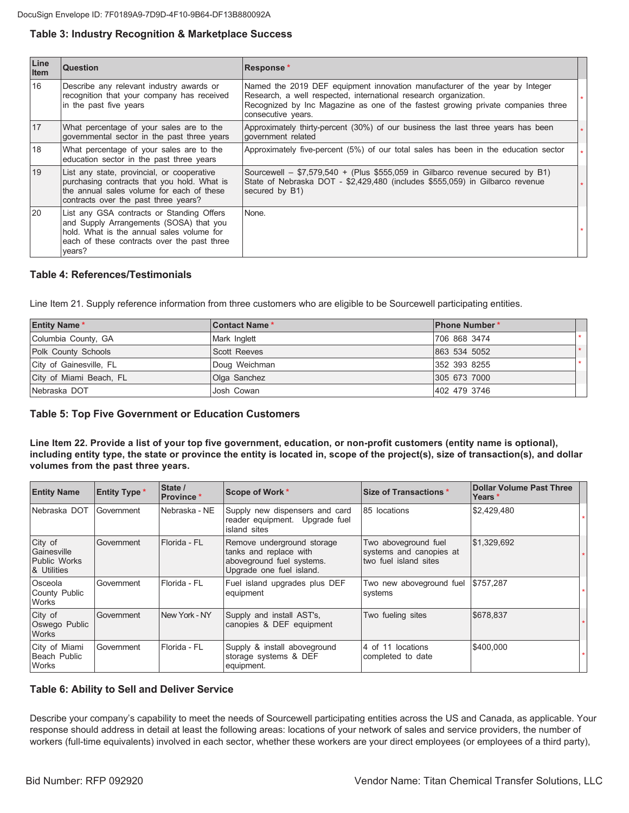#### Table 3: Industry Recognition & Marketplace Success

| Line<br><b>Item</b> | Question                                                                                                                                                                                   | Response*                                                                                                                                                                                                                                                 |  |
|---------------------|--------------------------------------------------------------------------------------------------------------------------------------------------------------------------------------------|-----------------------------------------------------------------------------------------------------------------------------------------------------------------------------------------------------------------------------------------------------------|--|
| 16                  | Describe any relevant industry awards or<br>recognition that your company has received<br>in the past five years                                                                           | Named the 2019 DEF equipment innovation manufacturer of the year by Integer<br>Research, a well respected, international research organization.<br>Recognized by Inc Magazine as one of the fastest growing private companies three<br>consecutive years. |  |
| 17                  | What percentage of your sales are to the<br>governmental sector in the past three years                                                                                                    | Approximately thirty-percent (30%) of our business the last three years has been<br>government related                                                                                                                                                    |  |
| 18                  | What percentage of your sales are to the<br>education sector in the past three years                                                                                                       | Approximately five-percent (5%) of our total sales has been in the education sector                                                                                                                                                                       |  |
| 19                  | List any state, provincial, or cooperative<br>purchasing contracts that you hold. What is<br>the annual sales volume for each of these<br>contracts over the past three years?             | Sourcewell – $$7,579,540$ + (Plus \$555,059 in Gilbarco revenue secured by B1)<br>State of Nebraska DOT - \$2,429,480 (includes \$555,059) in Gilbarco revenue<br>secured by B1)                                                                          |  |
| <b>20</b>           | List any GSA contracts or Standing Offers<br>and Supply Arrangements (SOSA) that you<br>hold. What is the annual sales volume for<br>each of these contracts over the past three<br>years? | None.                                                                                                                                                                                                                                                     |  |

#### **Table 4: References/Testimonials**

Line Item 21. Supply reference information from three customers who are eligible to be Sourcewell participating entities.

| <b>Entity Name*</b>     | <b>Contact Name*</b> | <b>IPhone Number*</b> |  |
|-------------------------|----------------------|-----------------------|--|
| Columbia County, GA     | Mark Inglett         | 706 868 3474          |  |
| Polk County Schools     | <b>Scott Reeves</b>  | 863 534 5052          |  |
| City of Gainesville, FL | Doug Weichman        | 352 393 8255          |  |
| City of Miami Beach, FL | Olga Sanchez         | 305 673 7000          |  |
| INebraska DOT           | Josh Cowan           | 402 479 3746          |  |

#### **Table 5: Top Five Government or Education Customers**

Line Item 22. Provide a list of your top five government, education, or non-profit customers (entity name is optional), including entity type, the state or province the entity is located in, scope of the project(s), size of transaction(s), and dollar volumes from the past three years.

| <b>Entity Name</b>                                           | <b>Entity Type *</b> | State /<br>Province* | Scope of Work *                                                                                               | <b>Size of Transactions *</b>                                            | <b>Dollar Volume Past Three</b><br>Years * |  |
|--------------------------------------------------------------|----------------------|----------------------|---------------------------------------------------------------------------------------------------------------|--------------------------------------------------------------------------|--------------------------------------------|--|
| Nebraska DOT                                                 | Government           | Nebraska - NE        | Supply new dispensers and card<br>reader equipment. Upgrade fuel<br>island sites                              | 85 locations                                                             | \$2,429,480                                |  |
| City of<br>Gainesville<br><b>Public Works</b><br>& Utilities | Government           | Florida - FL         | Remove underground storage<br>tanks and replace with<br>aboveground fuel systems.<br>Upgrade one fuel island. | Two aboveground fuel<br>systems and canopies at<br>two fuel island sites | \$1,329,692                                |  |
| Osceola<br>County Public<br>Works                            | Government           | Florida - FL         | Fuel island upgrades plus DEF<br>equipment                                                                    | Two new aboveground fuel<br>systems                                      | \$757,287                                  |  |
| City of<br>Oswego Public<br><b>Works</b>                     | Government           | New York - NY        | Supply and install AST's,<br>canopies & DEF equipment                                                         | Two fueling sites                                                        | \$678,837                                  |  |
| City of Miami<br>Beach Public<br>Works                       | Government           | Florida - FL         | Supply & install aboveground<br>storage systems & DEF<br>equipment.                                           | 4 of 11 locations<br>completed to date                                   | \$400,000                                  |  |

#### **Table 6: Ability to Sell and Deliver Service**

Describe your company's capability to meet the needs of Sourcewell participating entities across the US and Canada, as applicable. Your response should address in detail at least the following areas: locations of your network of sales and service providers, the number of workers (full-time equivalents) involved in each sector, whether these workers are your direct employees (or employees of a third party),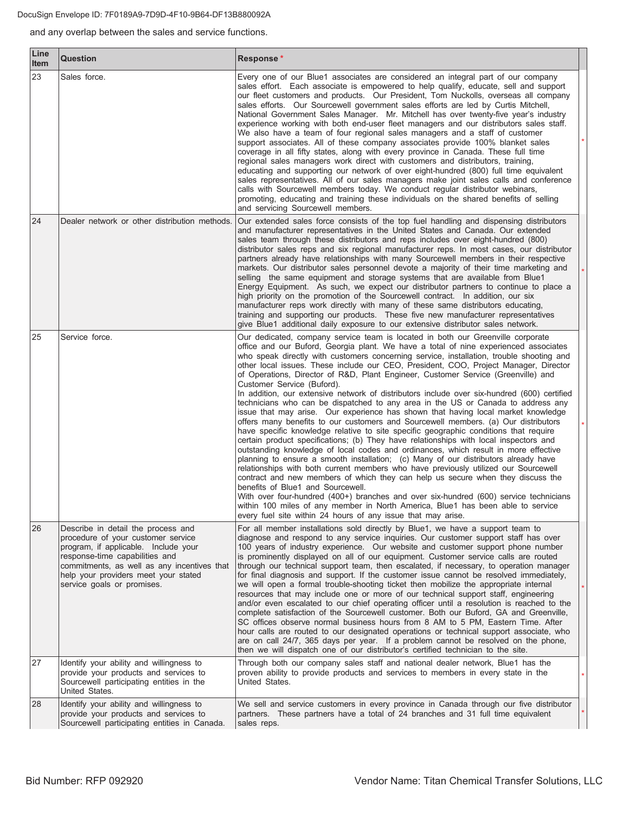and any overlap between the sales and service functions.

| Line<br>Item | <b>Question</b>                                                                                                                                                                                                                                                         | Response*                                                                                                                                                                                                                                                                                                                                                                                                                                                                                                                                                                                                                                                                                                                                                                                                                                                                                                                                                                                                                                                                                                                                                                                                                                                                                                                                                                                                                                                                                                                                                                                                                                                              |  |
|--------------|-------------------------------------------------------------------------------------------------------------------------------------------------------------------------------------------------------------------------------------------------------------------------|------------------------------------------------------------------------------------------------------------------------------------------------------------------------------------------------------------------------------------------------------------------------------------------------------------------------------------------------------------------------------------------------------------------------------------------------------------------------------------------------------------------------------------------------------------------------------------------------------------------------------------------------------------------------------------------------------------------------------------------------------------------------------------------------------------------------------------------------------------------------------------------------------------------------------------------------------------------------------------------------------------------------------------------------------------------------------------------------------------------------------------------------------------------------------------------------------------------------------------------------------------------------------------------------------------------------------------------------------------------------------------------------------------------------------------------------------------------------------------------------------------------------------------------------------------------------------------------------------------------------------------------------------------------------|--|
| 23           | Sales force.                                                                                                                                                                                                                                                            | Every one of our Blue1 associates are considered an integral part of our company<br>sales effort. Each associate is empowered to help qualify, educate, sell and support<br>our fleet customers and products. Our President, Tom Nuckolls, overseas all company<br>sales efforts. Our Sourcewell government sales efforts are led by Curtis Mitchell,<br>National Government Sales Manager. Mr. Mitchell has over twenty-five year's industry<br>experience working with both end-user fleet managers and our distributors sales staff.<br>We also have a team of four regional sales managers and a staff of customer<br>support associates. All of these company associates provide 100% blanket sales<br>coverage in all fifty states, along with every province in Canada. These full time<br>regional sales managers work direct with customers and distributors, training,<br>educating and supporting our network of over eight-hundred (800) full time equivalent<br>sales representatives. All of our sales managers make joint sales calls and conference<br>calls with Sourcewell members today. We conduct regular distributor webinars,<br>promoting, educating and training these individuals on the shared benefits of selling<br>and servicing Sourcewell members.                                                                                                                                                                                                                                                                                                                                                                                     |  |
| 24           | Dealer network or other distribution methods.                                                                                                                                                                                                                           | Our extended sales force consists of the top fuel handling and dispensing distributors<br>and manufacturer representatives in the United States and Canada. Our extended<br>sales team through these distributors and reps includes over eight-hundred (800)<br>distributor sales reps and six regional manufacturer reps. In most cases, our distributor<br>partners already have relationships with many Sourcewell members in their respective<br>markets. Our distributor sales personnel devote a majority of their time marketing and<br>selling the same equipment and storage systems that are available from Blue1<br>Energy Equipment. As such, we expect our distributor partners to continue to place a<br>high priority on the promotion of the Sourcewell contract. In addition, our six<br>manufacturer reps work directly with many of these same distributors educating,<br>training and supporting our products. These five new manufacturer representatives<br>give Blue1 additional daily exposure to our extensive distributor sales network.                                                                                                                                                                                                                                                                                                                                                                                                                                                                                                                                                                                                     |  |
| 25           | Service force.                                                                                                                                                                                                                                                          | Our dedicated, company service team is located in both our Greenville corporate<br>office and our Buford, Georgia plant. We have a total of nine experienced associates<br>who speak directly with customers concerning service, installation, trouble shooting and<br>other local issues. These include our CEO, President, COO, Project Manager, Director<br>of Operations, Director of R&D, Plant Engineer, Customer Service (Greenville) and<br>Customer Service (Buford).<br>In addition, our extensive network of distributors include over six-hundred (600) certified<br>technicians who can be dispatched to any area in the US or Canada to address any<br>issue that may arise. Our experience has shown that having local market knowledge<br>offers many benefits to our customers and Sourcewell members. (a) Our distributors<br>have specific knowledge relative to site specific geographic conditions that require<br>certain product specifications; (b) They have relationships with local inspectors and<br>outstanding knowledge of local codes and ordinances, which result in more effective<br>planning to ensure a smooth installation; (c) Many of our distributors already have<br>relationships with both current members who have previously utilized our Sourcewell<br>contract and new members of which they can help us secure when they discuss the<br>benefits of Blue1 and Sourcewell.<br>With over four-hundred (400+) branches and over six-hundred (600) service technicians<br>within 100 miles of any member in North America, Blue1 has been able to service<br>every fuel site within 24 hours of any issue that may arise. |  |
| 26           | Describe in detail the process and<br>procedure of your customer service<br>program, if applicable. Include your<br>response-time capabilities and<br>commitments, as well as any incentives that<br>help your providers meet your stated<br>service goals or promises. | For all member installations sold directly by Blue1, we have a support team to<br>diagnose and respond to any service inquiries. Our customer support staff has over<br>100 years of industry experience. Our website and customer support phone number<br>is prominently displayed on all of our equipment. Customer service calls are routed<br>through our technical support team, then escalated, if necessary, to operation manager<br>for final diagnosis and support. If the customer issue cannot be resolved immediately,<br>we will open a formal trouble-shooting ticket then mobilize the appropriate internal<br>resources that may include one or more of our technical support staff, engineering<br>and/or even escalated to our chief operating officer until a resolution is reached to the<br>complete satisfaction of the Sourcewell customer. Both our Buford, GA and Greenville,<br>SC offices observe normal business hours from 8 AM to 5 PM, Eastern Time. After<br>hour calls are routed to our designated operations or technical support associate, who<br>are on call 24/7, 365 days per year. If a problem cannot be resolved on the phone,<br>then we will dispatch one of our distributor's certified technician to the site.                                                                                                                                                                                                                                                                                                                                                                                                          |  |
| 27           | Identify your ability and willingness to<br>provide your products and services to<br>Sourcewell participating entities in the<br>United States.                                                                                                                         | Through both our company sales staff and national dealer network, Blue1 has the<br>proven ability to provide products and services to members in every state in the<br>United States.                                                                                                                                                                                                                                                                                                                                                                                                                                                                                                                                                                                                                                                                                                                                                                                                                                                                                                                                                                                                                                                                                                                                                                                                                                                                                                                                                                                                                                                                                  |  |
| 28           | Identify your ability and willingness to<br>provide your products and services to<br>Sourcewell participating entities in Canada.                                                                                                                                       | We sell and service customers in every province in Canada through our five distributor<br>partners. These partners have a total of 24 branches and 31 full time equivalent<br>sales reps.                                                                                                                                                                                                                                                                                                                                                                                                                                                                                                                                                                                                                                                                                                                                                                                                                                                                                                                                                                                                                                                                                                                                                                                                                                                                                                                                                                                                                                                                              |  |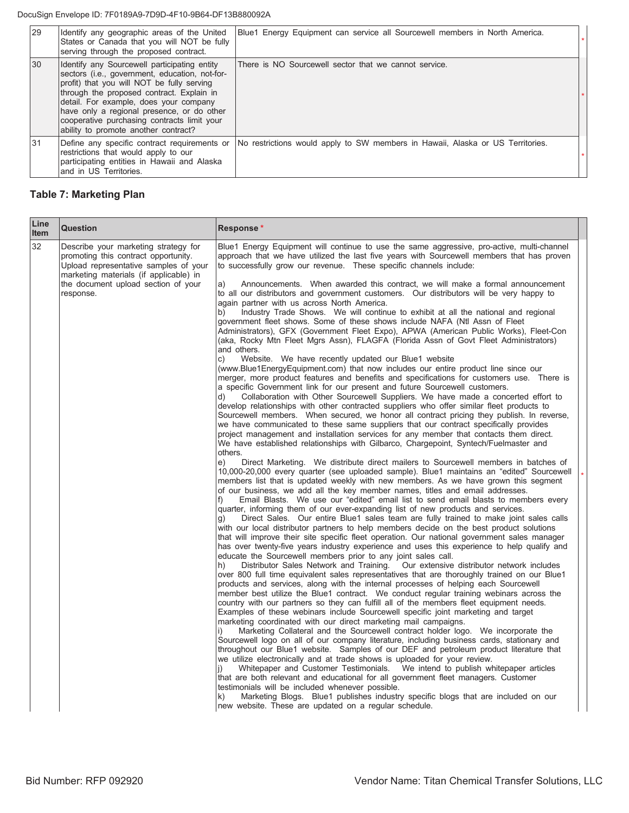DocuSign Envelope ID: 7F0189A9-7D9D-4F10-9B64-DF13B880092A

| 29  | Identify any geographic areas of the United<br>States or Canada that you will NOT be fully<br>serving through the proposed contract.                                                                                                                                                                                                                                     | Blue1 Energy Equipment can service all Sourcewell members in North America.    |  |
|-----|--------------------------------------------------------------------------------------------------------------------------------------------------------------------------------------------------------------------------------------------------------------------------------------------------------------------------------------------------------------------------|--------------------------------------------------------------------------------|--|
| l30 | Identify any Sourcewell participating entity<br>sectors (i.e., government, education, not-for-<br>profit) that you will NOT be fully serving<br>through the proposed contract. Explain in<br>detail. For example, does your company<br>have only a regional presence, or do other<br>cooperative purchasing contracts limit your<br>ability to promote another contract? | There is NO Sourcewell sector that we cannot service.                          |  |
| 31  | Define any specific contract requirements or<br>restrictions that would apply to our<br>participating entities in Hawaii and Alaska<br>land in US Territories.                                                                                                                                                                                                           | No restrictions would apply to SW members in Hawaii, Alaska or US Territories. |  |

# **Table 7: Marketing Plan**

| Line<br><b>Item</b> | <b>Question</b>                                                                                                                                                                                                     | Response*                                                                                                                                                                                                                                                                                                                                                                                                                                                                                                                                                                                                                                                                                                                                                                                                                                                                                                                                                                                                                                                                                                                                                                                                                                                                                                                                                                                                                                                                                                                                                                                                                                                                                                                                                                                                                                                                                                                                                                                                                                                                                                                                                                                                                                                                                                                                                                                                                                                                                                                                                                                                                                                                                                                       |  |
|---------------------|---------------------------------------------------------------------------------------------------------------------------------------------------------------------------------------------------------------------|---------------------------------------------------------------------------------------------------------------------------------------------------------------------------------------------------------------------------------------------------------------------------------------------------------------------------------------------------------------------------------------------------------------------------------------------------------------------------------------------------------------------------------------------------------------------------------------------------------------------------------------------------------------------------------------------------------------------------------------------------------------------------------------------------------------------------------------------------------------------------------------------------------------------------------------------------------------------------------------------------------------------------------------------------------------------------------------------------------------------------------------------------------------------------------------------------------------------------------------------------------------------------------------------------------------------------------------------------------------------------------------------------------------------------------------------------------------------------------------------------------------------------------------------------------------------------------------------------------------------------------------------------------------------------------------------------------------------------------------------------------------------------------------------------------------------------------------------------------------------------------------------------------------------------------------------------------------------------------------------------------------------------------------------------------------------------------------------------------------------------------------------------------------------------------------------------------------------------------------------------------------------------------------------------------------------------------------------------------------------------------------------------------------------------------------------------------------------------------------------------------------------------------------------------------------------------------------------------------------------------------------------------------------------------------------------------------------------------------|--|
| 32                  | Describe your marketing strategy for<br>promoting this contract opportunity.<br>Upload representative samples of your<br>marketing materials (if applicable) in<br>the document upload section of your<br>response. | Blue1 Energy Equipment will continue to use the same aggressive, pro-active, multi-channel<br>approach that we have utilized the last five years with Sourcewell members that has proven<br>to successfully grow our revenue. These specific channels include:<br>Announcements. When awarded this contract, we will make a formal announcement<br>a)<br>to all our distributors and government customers. Our distributors will be very happy to<br>again partner with us across North America.<br>Industry Trade Shows. We will continue to exhibit at all the national and regional<br>b)<br>government fleet shows. Some of these shows include NAFA (Ntl Assn of Fleet<br>Administrators), GFX (Government Fleet Expo), APWA (American Public Works), Fleet-Con<br>(aka, Rocky Mtn Fleet Mgrs Assn), FLAGFA (Florida Assn of Govt Fleet Administrators)<br>and others.<br>C)<br>Website. We have recently updated our Blue1 website<br>(www.Blue1EnergyEquipment.com) that now includes our entire product line since our<br>merger, more product features and benefits and specifications for customers use. There is<br>a specific Government link for our present and future Sourcewell customers.<br>Collaboration with Other Sourcewell Suppliers. We have made a concerted effort to<br>d)<br>develop relationships with other contracted suppliers who offer similar fleet products to<br>Sourcewell members. When secured, we honor all contract pricing they publish. In reverse,<br>we have communicated to these same suppliers that our contract specifically provides<br>project management and installation services for any member that contacts them direct.<br>We have established relationships with Gilbarco, Chargepoint, Syntech/Fuelmaster and<br>others.<br>e)<br>Direct Marketing. We distribute direct mailers to Sourcewell members in batches of<br>10,000-20,000 every quarter (see uploaded sample). Blue1 maintains an "edited" Sourcewell<br>members list that is updated weekly with new members. As we have grown this segment<br>of our business, we add all the key member names, titles and email addresses.<br>Email Blasts. We use our "edited" email list to send email blasts to members every<br>t)<br>quarter, informing them of our ever-expanding list of new products and services.<br>Direct Sales. Our entire Blue1 sales team are fully trained to make joint sales calls<br>g)<br>with our local distributor partners to help members decide on the best product solutions<br>that will improve their site specific fleet operation. Our national government sales manager<br>has over twenty-five years industry experience and uses this experience to help qualify and |  |
|                     |                                                                                                                                                                                                                     | educate the Sourcewell members prior to any joint sales call.<br>Distributor Sales Network and Training. Our extensive distributor network includes<br>h)<br>over 800 full time equivalent sales representatives that are thoroughly trained on our Blue1<br>products and services, along with the internal processes of helping each Sourcewell<br>member best utilize the Blue1 contract. We conduct regular training webinars across the<br>country with our partners so they can fulfill all of the members fleet equipment needs.<br>Examples of these webinars include Sourcewell specific joint marketing and target                                                                                                                                                                                                                                                                                                                                                                                                                                                                                                                                                                                                                                                                                                                                                                                                                                                                                                                                                                                                                                                                                                                                                                                                                                                                                                                                                                                                                                                                                                                                                                                                                                                                                                                                                                                                                                                                                                                                                                                                                                                                                                     |  |
|                     |                                                                                                                                                                                                                     | marketing coordinated with our direct marketing mail campaigns.<br>Marketing Collateral and the Sourcewell contract holder logo. We incorporate the<br>Sourcewell logo on all of our company literature, including business cards, stationary and<br>throughout our Blue1 website. Samples of our DEF and petroleum product literature that<br>we utilize electronically and at trade shows is uploaded for your review.<br>Whitepaper and Customer Testimonials. We intend to publish whitepaper articles<br>that are both relevant and educational for all government fleet managers. Customer<br>testimonials will be included whenever possible.<br>Marketing Blogs. Blue1 publishes industry specific blogs that are included on our<br>k)<br>new website. These are updated on a regular schedule.                                                                                                                                                                                                                                                                                                                                                                                                                                                                                                                                                                                                                                                                                                                                                                                                                                                                                                                                                                                                                                                                                                                                                                                                                                                                                                                                                                                                                                                                                                                                                                                                                                                                                                                                                                                                                                                                                                                        |  |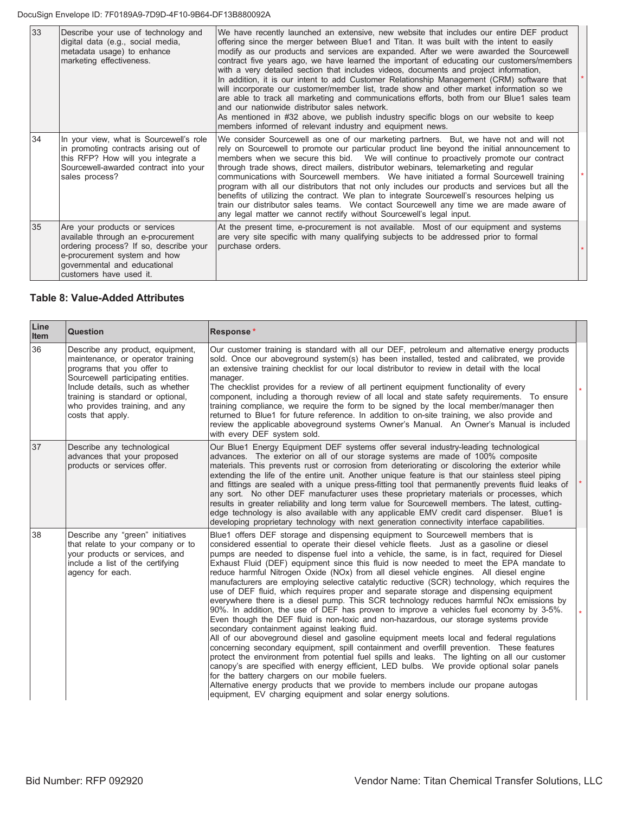| 33 | Describe your use of technology and<br>digital data (e.g., social media,<br>metadata usage) to enhance<br>marketing effectiveness.                                                                       | We have recently launched an extensive, new website that includes our entire DEF product<br>offering since the merger between Blue1 and Titan. It was built with the intent to easily<br>modify as our products and services are expanded. After we were awarded the Sourcewell<br>contract five years ago, we have learned the important of educating our customers/members<br>with a very detailed section that includes videos, documents and project information,<br>In addition, it is our intent to add Customer Relationship Management (CRM) software that<br>will incorporate our customer/member list, trade show and other market information so we<br>are able to track all marketing and communications efforts, both from our Blue1 sales team<br>and our nationwide distributor sales network.<br>As mentioned in #32 above, we publish industry specific blogs on our website to keep<br>members informed of relevant industry and equipment news. |  |
|----|----------------------------------------------------------------------------------------------------------------------------------------------------------------------------------------------------------|--------------------------------------------------------------------------------------------------------------------------------------------------------------------------------------------------------------------------------------------------------------------------------------------------------------------------------------------------------------------------------------------------------------------------------------------------------------------------------------------------------------------------------------------------------------------------------------------------------------------------------------------------------------------------------------------------------------------------------------------------------------------------------------------------------------------------------------------------------------------------------------------------------------------------------------------------------------------|--|
| 34 | In your view, what is Sourcewell's role<br>In promoting contracts arising out of<br>this RFP? How will you integrate a<br>Sourcewell-awarded contract into your<br>sales process?                        | We consider Sourcewell as one of our marketing partners. But, we have not and will not<br>rely on Sourcewell to promote our particular product line beyond the initial announcement to<br>members when we secure this bid. We will continue to proactively promote our contract<br>through trade shows, direct mailers, distributor webinars, telemarketing and regular<br>communications with Sourcewell members. We have initiated a formal Sourcewell training<br>program with all our distributors that not only includes our products and services but all the<br>benefits of utilizing the contract. We plan to integrate Sourcewell's resources helping us<br>train our distributor sales teams. We contact Sourcewell any time we are made aware of<br>any legal matter we cannot rectify without Sourcewell's legal input.                                                                                                                                |  |
| 35 | Are your products or services<br>available through an e-procurement<br>ordering process? If so, describe your<br>e-procurement system and how<br>governmental and educational<br>customers have used it. | At the present time, e-procurement is not available. Most of our equipment and systems<br>are very site specific with many qualifying subjects to be addressed prior to formal<br>purchase orders.                                                                                                                                                                                                                                                                                                                                                                                                                                                                                                                                                                                                                                                                                                                                                                 |  |

#### **Table 8: Value-Added Attributes**

| Line<br>Item | Question                                                                                                                                                                                                                                                                  | Response*                                                                                                                                                                                                                                                                                                                                                                                                                                                                                                                                                                                                                                                                                                                                                                                                                                                                                                                                                                                                                                                                                                                                                                                                                                                                                                                                                                                                                                                                                                                                                                                   |  |
|--------------|---------------------------------------------------------------------------------------------------------------------------------------------------------------------------------------------------------------------------------------------------------------------------|---------------------------------------------------------------------------------------------------------------------------------------------------------------------------------------------------------------------------------------------------------------------------------------------------------------------------------------------------------------------------------------------------------------------------------------------------------------------------------------------------------------------------------------------------------------------------------------------------------------------------------------------------------------------------------------------------------------------------------------------------------------------------------------------------------------------------------------------------------------------------------------------------------------------------------------------------------------------------------------------------------------------------------------------------------------------------------------------------------------------------------------------------------------------------------------------------------------------------------------------------------------------------------------------------------------------------------------------------------------------------------------------------------------------------------------------------------------------------------------------------------------------------------------------------------------------------------------------|--|
| 36           | Describe any product, equipment,<br>maintenance, or operator training<br>programs that you offer to<br>Sourcewell participating entities.<br>Include details, such as whether<br>training is standard or optional,<br>who provides training, and any<br>costs that apply. | Our customer training is standard with all our DEF, petroleum and alternative energy products<br>sold. Once our aboveground system(s) has been installed, tested and calibrated, we provide<br>an extensive training checklist for our local distributor to review in detail with the local<br>manager.<br>The checklist provides for a review of all pertinent equipment functionality of every<br>component, including a thorough review of all local and state safety requirements. To ensure<br>training compliance, we require the form to be signed by the local member/manager then<br>returned to Blue1 for future reference. In addition to on-site training, we also provide and<br>review the applicable aboveground systems Owner's Manual. An Owner's Manual is included<br>with every DEF system sold.                                                                                                                                                                                                                                                                                                                                                                                                                                                                                                                                                                                                                                                                                                                                                                        |  |
| 37           | Describe any technological<br>advances that your proposed<br>products or services offer.                                                                                                                                                                                  | Our Blue1 Energy Equipment DEF systems offer several industry-leading technological<br>advances. The exterior on all of our storage systems are made of 100% composite<br>materials. This prevents rust or corrosion from deteriorating or discoloring the exterior while<br>extending the life of the entire unit. Another unique feature is that our stainless steel piping<br>and fittings are sealed with a unique press-fitting tool that permanently prevents fluid leaks of<br>any sort. No other DEF manufacturer uses these proprietary materials or processes, which<br>results in greater reliability and long term value for Sourcewell members. The latest, cutting-<br>edge technology is also available with any applicable EMV credit card dispenser. Blue1 is<br>developing proprietary technology with next generation connectivity interface capabilities.                                                                                                                                                                                                                                                                                                                                                                                                                                                                                                                                                                                                                                                                                                               |  |
| 38           | Describe any "green" initiatives<br>that relate to your company or to<br>your products or services, and<br>include a list of the certifying<br>agency for each.                                                                                                           | Blue1 offers DEF storage and dispensing equipment to Sourcewell members that is<br>considered essential to operate their diesel vehicle fleets. Just as a gasoline or diesel<br>pumps are needed to dispense fuel into a vehicle, the same, is in fact, required for Diesel<br>Exhaust Fluid (DEF) equipment since this fluid is now needed to meet the EPA mandate to<br>reduce harmful Nitrogen Oxide (NOx) from all diesel vehicle engines. All diesel engine<br>manufacturers are employing selective catalytic reductive (SCR) technology, which requires the<br>use of DEF fluid, which requires proper and separate storage and dispensing equipment<br>everywhere there is a diesel pump. This SCR technology reduces harmful NOx emissions by<br>90%. In addition, the use of DEF has proven to improve a vehicles fuel economy by 3-5%.<br>Even though the DEF fluid is non-toxic and non-hazardous, our storage systems provide<br>secondary containment against leaking fluid.<br>All of our aboveground diesel and gasoline equipment meets local and federal regulations<br>concerning secondary equipment, spill containment and overfill prevention. These features<br>protect the environment from potential fuel spills and leaks. The lighting on all our customer<br>canopy's are specified with energy efficient, LED bulbs. We provide optional solar panels<br>for the battery chargers on our mobile fuelers.<br>Alternative energy products that we provide to members include our propane autogas<br>equipment, EV charging equipment and solar energy solutions. |  |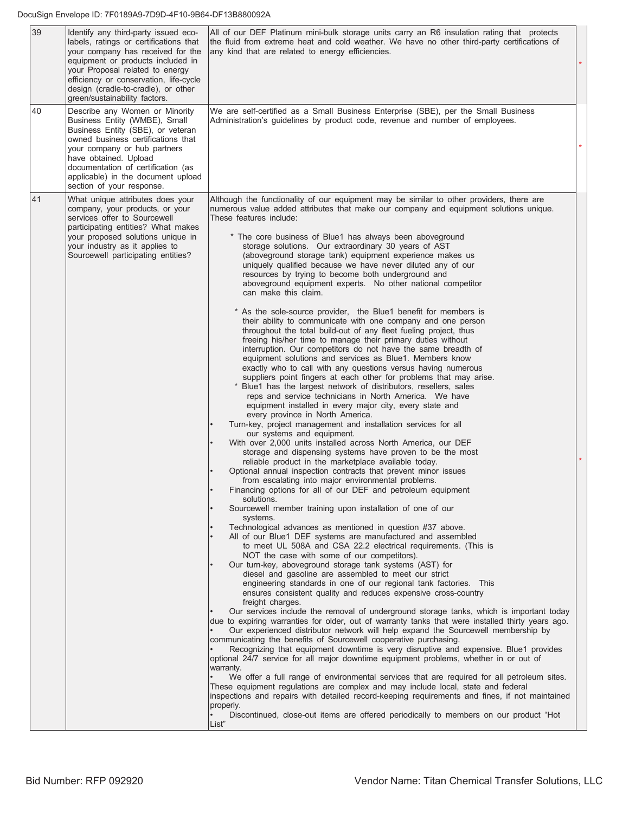| 39 | Identify any third-party issued eco-<br>labels, ratings or certifications that<br>your company has received for the<br>equipment or products included in<br>your Proposal related to energy<br>efficiency or conservation, life-cycle<br>design (cradle-to-cradle), or other<br>green/sustainability factors. | All of our DEF Platinum mini-bulk storage units carry an R6 insulation rating that protects<br>the fluid from extreme heat and cold weather. We have no other third-party certifications of<br>any kind that are related to energy efficiencies.                                                                                                                                                                                                                                                                                                                                                                                                                                                                                                                                                                                                                                                                                                                                                                                                                                                                                                                                                                                                                                                                                                                                                                                                                                                                                                                                                                                                                                                                                                                                                                                                                                                                                                                                                                                                                                                                                                                                                                                                                                                                                                                                                                                                                                                                                                                                                                                                                                                                                                                                                                                                                                                                                                                                                                                          |
|----|---------------------------------------------------------------------------------------------------------------------------------------------------------------------------------------------------------------------------------------------------------------------------------------------------------------|-------------------------------------------------------------------------------------------------------------------------------------------------------------------------------------------------------------------------------------------------------------------------------------------------------------------------------------------------------------------------------------------------------------------------------------------------------------------------------------------------------------------------------------------------------------------------------------------------------------------------------------------------------------------------------------------------------------------------------------------------------------------------------------------------------------------------------------------------------------------------------------------------------------------------------------------------------------------------------------------------------------------------------------------------------------------------------------------------------------------------------------------------------------------------------------------------------------------------------------------------------------------------------------------------------------------------------------------------------------------------------------------------------------------------------------------------------------------------------------------------------------------------------------------------------------------------------------------------------------------------------------------------------------------------------------------------------------------------------------------------------------------------------------------------------------------------------------------------------------------------------------------------------------------------------------------------------------------------------------------------------------------------------------------------------------------------------------------------------------------------------------------------------------------------------------------------------------------------------------------------------------------------------------------------------------------------------------------------------------------------------------------------------------------------------------------------------------------------------------------------------------------------------------------------------------------------------------------------------------------------------------------------------------------------------------------------------------------------------------------------------------------------------------------------------------------------------------------------------------------------------------------------------------------------------------------------------------------------------------------------------------------------------------------|
| 40 | Describe any Women or Minority<br>Business Entity (WMBE), Small<br>Business Entity (SBE), or veteran<br>owned business certifications that<br>your company or hub partners<br>have obtained. Upload<br>documentation of certification (as<br>applicable) in the document upload<br>section of your response.  | We are self-certified as a Small Business Enterprise (SBE), per the Small Business<br>Administration's guidelines by product code, revenue and number of employees.                                                                                                                                                                                                                                                                                                                                                                                                                                                                                                                                                                                                                                                                                                                                                                                                                                                                                                                                                                                                                                                                                                                                                                                                                                                                                                                                                                                                                                                                                                                                                                                                                                                                                                                                                                                                                                                                                                                                                                                                                                                                                                                                                                                                                                                                                                                                                                                                                                                                                                                                                                                                                                                                                                                                                                                                                                                                       |
| 41 | What unique attributes does your<br>company, your products, or your<br>services offer to Sourcewell<br>participating entities? What makes<br>your proposed solutions unique in<br>your industry as it applies to<br>Sourcewell participating entities?                                                        | Although the functionality of our equipment may be similar to other providers, there are<br>numerous value added attributes that make our company and equipment solutions unique.<br>These features include:<br>* The core business of Blue1 has always been aboveground<br>storage solutions. Our extraordinary 30 years of AST<br>(aboveground storage tank) equipment experience makes us<br>uniquely qualified because we have never diluted any of our<br>resources by trying to become both underground and<br>aboveground equipment experts. No other national competitor<br>can make this claim.<br>* As the sole-source provider, the Blue1 benefit for members is<br>their ability to communicate with one company and one person<br>throughout the total build-out of any fleet fueling project, thus<br>freeing his/her time to manage their primary duties without<br>interruption. Our competitors do not have the same breadth of<br>equipment solutions and services as Blue1. Members know<br>exactly who to call with any questions versus having numerous<br>suppliers point fingers at each other for problems that may arise.<br>Blue1 has the largest network of distributors, resellers, sales<br>reps and service technicians in North America. We have<br>equipment installed in every major city, every state and<br>every province in North America.<br>Turn-key, project management and installation services for all<br>our systems and equipment.<br>With over 2,000 units installed across North America, our DEF<br>storage and dispensing systems have proven to be the most<br>reliable product in the marketplace available today.<br>Optional annual inspection contracts that prevent minor issues<br>from escalating into major environmental problems.<br>Financing options for all of our DEF and petroleum equipment<br>solutions.<br>Sourcewell member training upon installation of one of our<br>systems.<br>Technological advances as mentioned in question #37 above.<br>All of our Blue1 DEF systems are manufactured and assembled<br>to meet UL 508A and CSA 22.2 electrical requirements. (This is<br>NOT the case with some of our competitors).<br>Our turn-key, aboveground storage tank systems (AST) for<br>diesel and gasoline are assembled to meet our strict<br>engineering standards in one of our regional tank factories. This<br>ensures consistent quality and reduces expensive cross-country<br>freight charges.<br>Our services include the removal of underground storage tanks, which is important today<br>due to expiring warranties for older, out of warranty tanks that were installed thirty years ago.<br>Our experienced distributor network will help expand the Sourcewell membership by<br>communicating the benefits of Sourcewell cooperative purchasing.<br>Recognizing that equipment downtime is very disruptive and expensive. Blue1 provides<br>optional 24/7 service for all major downtime equipment problems, whether in or out of<br>warranty. |
|    |                                                                                                                                                                                                                                                                                                               | We offer a full range of environmental services that are required for all petroleum sites.<br>These equipment regulations are complex and may include local, state and federal<br>inspections and repairs with detailed record-keeping requirements and fines, if not maintained<br>properly.<br>Discontinued, close-out items are offered periodically to members on our product "Hot<br>List"                                                                                                                                                                                                                                                                                                                                                                                                                                                                                                                                                                                                                                                                                                                                                                                                                                                                                                                                                                                                                                                                                                                                                                                                                                                                                                                                                                                                                                                                                                                                                                                                                                                                                                                                                                                                                                                                                                                                                                                                                                                                                                                                                                                                                                                                                                                                                                                                                                                                                                                                                                                                                                           |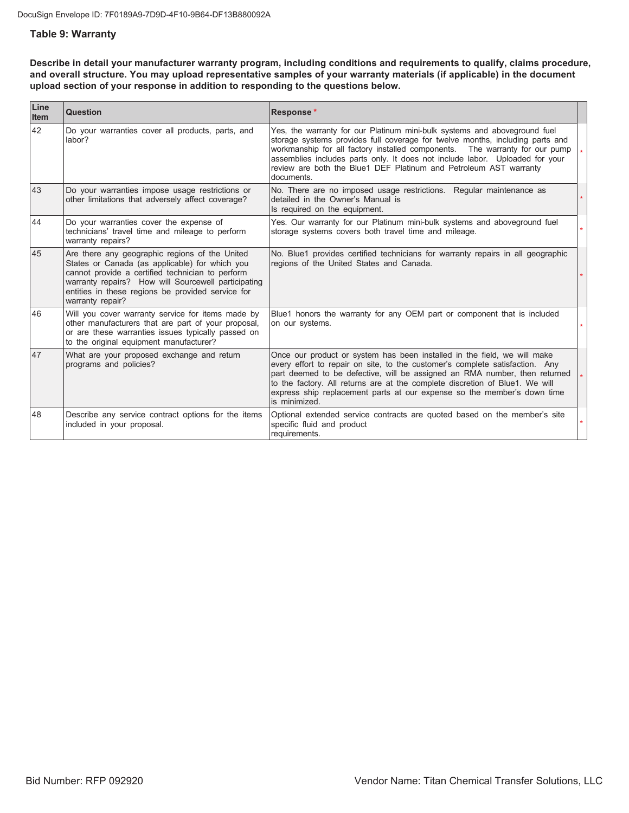#### **Table 9: Warranty**

Describe in detail your manufacturer warranty program, including conditions and requirements to qualify, claims procedure, and overall structure. You may upload representative samples of your warranty materials (if applicable) in the document upload section of your response in addition to responding to the questions below.

| Line<br><b>Item</b> | Question                                                                                                                                                                                                                                                                             | Response*                                                                                                                                                                                                                                                                                                                                                                                                          |         |
|---------------------|--------------------------------------------------------------------------------------------------------------------------------------------------------------------------------------------------------------------------------------------------------------------------------------|--------------------------------------------------------------------------------------------------------------------------------------------------------------------------------------------------------------------------------------------------------------------------------------------------------------------------------------------------------------------------------------------------------------------|---------|
| 42                  | Do your warranties cover all products, parts, and<br>labor?                                                                                                                                                                                                                          | Yes, the warranty for our Platinum mini-bulk systems and aboveground fuel<br>storage systems provides full coverage for twelve months, including parts and<br>workmanship for all factory installed components.  The warranty for our pump<br>assemblies includes parts only. It does not include labor. Uploaded for your<br>review are both the Blue1 DEF Platinum and Petroleum AST warranty<br>documents.      | $\star$ |
| 43                  | Do your warranties impose usage restrictions or<br>other limitations that adversely affect coverage?                                                                                                                                                                                 | No. There are no imposed usage restrictions. Regular maintenance as<br>detailed in the Owner's Manual is<br>Is required on the equipment.                                                                                                                                                                                                                                                                          |         |
| 44                  | Do your warranties cover the expense of<br>technicians' travel time and mileage to perform<br>warranty repairs?                                                                                                                                                                      | Yes. Our warranty for our Platinum mini-bulk systems and aboveground fuel<br>storage systems covers both travel time and mileage.                                                                                                                                                                                                                                                                                  |         |
| 45                  | Are there any geographic regions of the United<br>States or Canada (as applicable) for which you<br>cannot provide a certified technician to perform<br>warranty repairs? How will Sourcewell participating<br>entities in these regions be provided service for<br>warranty repair? | No. Blue1 provides certified technicians for warranty repairs in all geographic<br>regions of the United States and Canada.                                                                                                                                                                                                                                                                                        |         |
| 46                  | Will you cover warranty service for items made by<br>other manufacturers that are part of your proposal,<br>or are these warranties issues typically passed on<br>to the original equipment manufacturer?                                                                            | Blue1 honors the warranty for any OEM part or component that is included<br>on our systems.                                                                                                                                                                                                                                                                                                                        |         |
| 47                  | What are your proposed exchange and return<br>programs and policies?                                                                                                                                                                                                                 | Once our product or system has been installed in the field, we will make<br>every effort to repair on site, to the customer's complete satisfaction. Any<br>part deemed to be defective, will be assigned an RMA number, then returned<br>to the factory. All returns are at the complete discretion of Blue1. We will<br>express ship replacement parts at our expense so the member's down time<br>is minimized. | $\star$ |
| 48                  | Describe any service contract options for the items<br>included in your proposal.                                                                                                                                                                                                    | Optional extended service contracts are quoted based on the member's site<br>specific fluid and product<br>requirements.                                                                                                                                                                                                                                                                                           |         |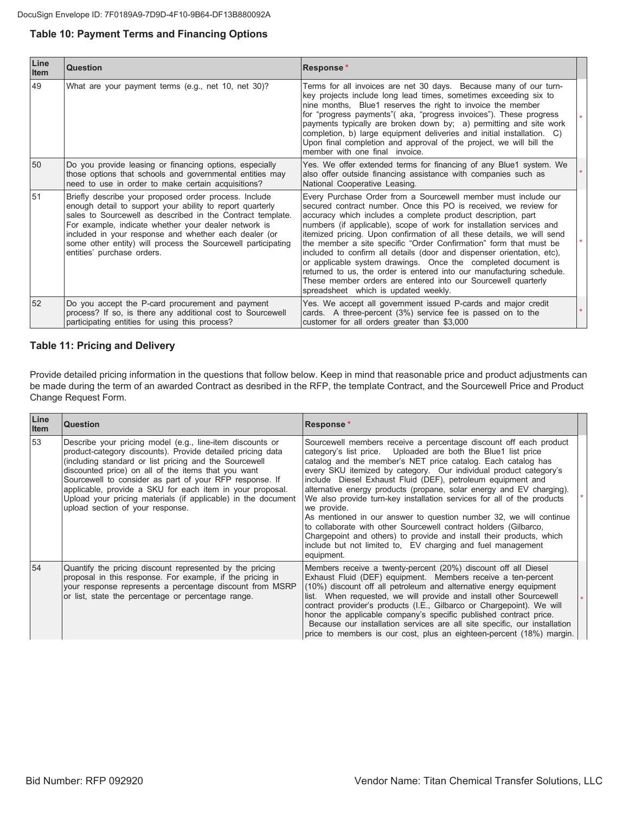#### **Table 10: Payment Terms and Financing Options**

| Line<br>Item | Question                                                                                                                                                                                                                                                                                                                                                                                        | Response*                                                                                                                                                                                                                                                                                                                                                                                                                                                                                                                                                                                                                                                                                                                                              |  |
|--------------|-------------------------------------------------------------------------------------------------------------------------------------------------------------------------------------------------------------------------------------------------------------------------------------------------------------------------------------------------------------------------------------------------|--------------------------------------------------------------------------------------------------------------------------------------------------------------------------------------------------------------------------------------------------------------------------------------------------------------------------------------------------------------------------------------------------------------------------------------------------------------------------------------------------------------------------------------------------------------------------------------------------------------------------------------------------------------------------------------------------------------------------------------------------------|--|
| 49           | What are your payment terms (e.g., net 10, net 30)?                                                                                                                                                                                                                                                                                                                                             | Terms for all invoices are net 30 days. Because many of our turn-<br>key projects include long lead times, sometimes exceeding six to<br>nine months, Blue1 reserves the right to invoice the member<br>for "progress payments" (aka, "progress invoices"). These progress<br>payments typically are broken down by; a) permitting and site work<br>completion, b) large equipment deliveries and initial installation. C)<br>Upon final completion and approval of the project, we will bill the<br>member with one final invoice.                                                                                                                                                                                                                    |  |
| 50           | Do you provide leasing or financing options, especially<br>those options that schools and governmental entities may<br>need to use in order to make certain acquisitions?                                                                                                                                                                                                                       | Yes. We offer extended terms for financing of any Blue1 system. We<br>also offer outside financing assistance with companies such as<br>National Cooperative Leasing.                                                                                                                                                                                                                                                                                                                                                                                                                                                                                                                                                                                  |  |
| 51           | Briefly describe your proposed order process. Include<br>enough detail to support your ability to report quarterly<br>sales to Sourcewell as described in the Contract template.<br>For example, indicate whether your dealer network is<br>included in your response and whether each dealer (or<br>some other entity) will process the Sourcewell participating<br>entities' purchase orders. | Every Purchase Order from a Sourcewell member must include our<br>secured contract number. Once this PO is received, we review for<br>accuracy which includes a complete product description, part<br>numbers (if applicable), scope of work for installation services and<br>itemized pricing. Upon confirmation of all these details, we will send<br>the member a site specific "Order Confirmation" form that must be<br>included to confirm all details (door and dispenser orientation, etc),<br>or applicable system drawings. Once the completed document is<br>returned to us, the order is entered into our manufacturing schedule.<br>These member orders are entered into our Sourcewell quarterly<br>spreadsheet which is updated weekly. |  |
| 52           | Do you accept the P-card procurement and payment<br>process? If so, is there any additional cost to Sourcewell<br>participating entities for using this process?                                                                                                                                                                                                                                | Yes. We accept all government issued P-cards and major credit<br>cards. A three-percent (3%) service fee is passed on to the<br>customer for all orders greater than \$3,000                                                                                                                                                                                                                                                                                                                                                                                                                                                                                                                                                                           |  |

#### **Table 11: Pricing and Delivery**

Provide detailed pricing information in the questions that follow below. Keep in mind that reasonable price and product adjustments can be made during the term of an awarded Contract as desribed in the RFP, the template Contract, and the Sourcewell Price and Product Change Request Form.

| Line<br><b>Item</b> | <b>Question</b>                                                                                                                                                                                                                                                                                                                                                                                                                                                       | Response*                                                                                                                                                                                                                                                                                                                                                                                                                                                                                                                                                                                                                                                                                                                                                                                              |  |
|---------------------|-----------------------------------------------------------------------------------------------------------------------------------------------------------------------------------------------------------------------------------------------------------------------------------------------------------------------------------------------------------------------------------------------------------------------------------------------------------------------|--------------------------------------------------------------------------------------------------------------------------------------------------------------------------------------------------------------------------------------------------------------------------------------------------------------------------------------------------------------------------------------------------------------------------------------------------------------------------------------------------------------------------------------------------------------------------------------------------------------------------------------------------------------------------------------------------------------------------------------------------------------------------------------------------------|--|
| 53                  | Describe your pricing model (e.g., line-item discounts or<br>product-category discounts). Provide detailed pricing data<br>(including standard or list pricing and the Sourcewell<br>discounted price) on all of the items that you want<br>Sourcewell to consider as part of your RFP response. If<br>applicable, provide a SKU for each item in your proposal.<br>Upload your pricing materials (if applicable) in the document<br>upload section of your response. | Sourcewell members receive a percentage discount off each product<br>category's list price. Uploaded are both the Blue1 list price<br>catalog and the member's NET price catalog. Each catalog has<br>every SKU itemized by category. Our individual product category's<br>include Diesel Exhaust Fluid (DEF), petroleum equipment and<br>alternative energy products (propane, solar energy and EV charging).<br>We also provide turn-key installation services for all of the products<br>we provide.<br>As mentioned in our answer to question number 32, we will continue<br>to collaborate with other Sourcewell contract holders (Gilbarco,<br>Chargepoint and others) to provide and install their products, which<br>include but not limited to, EV charging and fuel management<br>equipment. |  |
| 54                  | Quantify the pricing discount represented by the pricing<br>proposal in this response. For example, if the pricing in<br>your response represents a percentage discount from MSRP<br>or list, state the percentage or percentage range.                                                                                                                                                                                                                               | Members receive a twenty-percent (20%) discount off all Diesel<br>Exhaust Fluid (DEF) equipment. Members receive a ten-percent<br>(10%) discount off all petroleum and alternative energy equipment<br>list. When requested, we will provide and install other Sourcewell<br>contract provider's products (I.E., Gilbarco or Chargepoint). We will<br>honor the applicable company's specific published contract price.<br>Because our installation services are all site specific, our installation<br>price to members is our cost, plus an eighteen-percent (18%) margin.                                                                                                                                                                                                                           |  |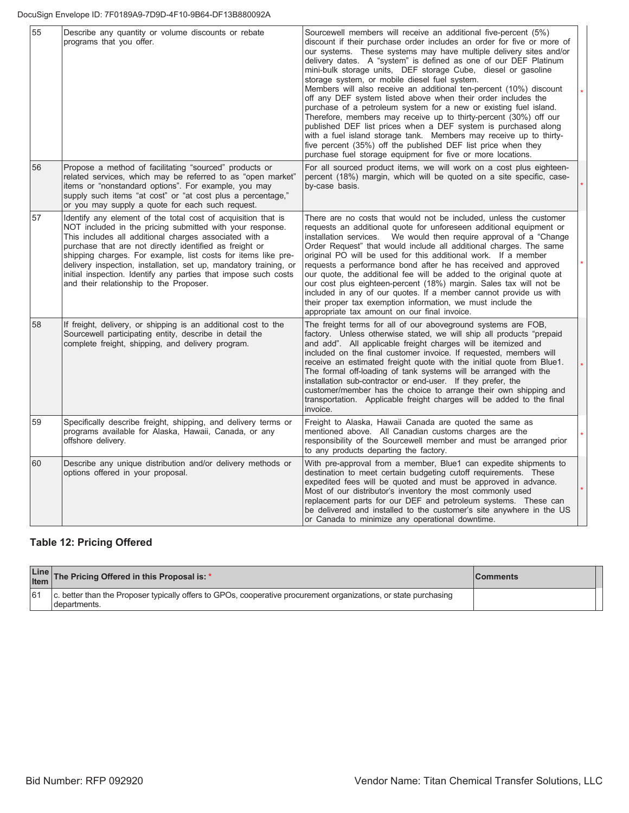| 55 | Describe any quantity or volume discounts or rebate<br>programs that you offer.                                                                                                                                                                                                                                                                                                                                                                                                                     | Sourcewell members will receive an additional five-percent (5%)<br>discount if their purchase order includes an order for five or more of<br>our systems. These systems may have multiple delivery sites and/or<br>delivery dates. A "system" is defined as one of our DEF Platinum<br>mini-bulk storage units, DEF storage Cube, diesel or gasoline<br>storage system, or mobile diesel fuel system.<br>Members will also receive an additional ten-percent (10%) discount<br>off any DEF system listed above when their order includes the<br>purchase of a petroleum system for a new or existing fuel island.<br>Therefore, members may receive up to thirty-percent (30%) off our<br>published DEF list prices when a DEF system is purchased along<br>with a fuel island storage tank. Members may receive up to thirty-<br>five percent (35%) off the published DEF list price when they<br>purchase fuel storage equipment for five or more locations. |  |
|----|-----------------------------------------------------------------------------------------------------------------------------------------------------------------------------------------------------------------------------------------------------------------------------------------------------------------------------------------------------------------------------------------------------------------------------------------------------------------------------------------------------|----------------------------------------------------------------------------------------------------------------------------------------------------------------------------------------------------------------------------------------------------------------------------------------------------------------------------------------------------------------------------------------------------------------------------------------------------------------------------------------------------------------------------------------------------------------------------------------------------------------------------------------------------------------------------------------------------------------------------------------------------------------------------------------------------------------------------------------------------------------------------------------------------------------------------------------------------------------|--|
| 56 | Propose a method of facilitating "sourced" products or<br>related services, which may be referred to as "open market"<br>items or "nonstandard options". For example, you may<br>supply such items "at cost" or "at cost plus a percentage,"<br>or you may supply a quote for each such request.                                                                                                                                                                                                    | For all sourced product items, we will work on a cost plus eighteen-<br>percent (18%) margin, which will be quoted on a site specific, case-<br>by-case basis.                                                                                                                                                                                                                                                                                                                                                                                                                                                                                                                                                                                                                                                                                                                                                                                                 |  |
| 57 | Identify any element of the total cost of acquisition that is<br>NOT included in the pricing submitted with your response.<br>This includes all additional charges associated with a<br>purchase that are not directly identified as freight or<br>shipping charges. For example, list costs for items like pre-<br>delivery inspection, installation, set up, mandatory training, or<br>initial inspection. Identify any parties that impose such costs<br>and their relationship to the Proposer. | There are no costs that would not be included, unless the customer<br>requests an additional quote for unforeseen additional equipment or<br>We would then require approval of a "Change"<br>installation services.<br>Order Request" that would include all additional charges. The same<br>original PO will be used for this additional work. If a member<br>requests a performance bond after he has received and approved<br>our quote, the additional fee will be added to the original quote at<br>our cost plus eighteen-percent (18%) margin. Sales tax will not be<br>included in any of our quotes. If a member cannot provide us with<br>their proper tax exemption information, we must include the<br>appropriate tax amount on our final invoice.                                                                                                                                                                                                |  |
| 58 | If freight, delivery, or shipping is an additional cost to the<br>Sourcewell participating entity, describe in detail the<br>complete freight, shipping, and delivery program.                                                                                                                                                                                                                                                                                                                      | The freight terms for all of our aboveground systems are FOB,<br>factory. Unless otherwise stated, we will ship all products "prepaid<br>and add". All applicable freight charges will be itemized and<br>included on the final customer invoice. If requested, members will<br>receive an estimated freight quote with the initial quote from Blue1.<br>The formal off-loading of tank systems will be arranged with the<br>installation sub-contractor or end-user. If they prefer, the<br>customer/member has the choice to arrange their own shipping and<br>transportation. Applicable freight charges will be added to the final<br>invoice.                                                                                                                                                                                                                                                                                                             |  |
| 59 | Specifically describe freight, shipping, and delivery terms or<br>programs available for Alaska, Hawaii, Canada, or any<br>offshore delivery.                                                                                                                                                                                                                                                                                                                                                       | Freight to Alaska, Hawaii Canada are quoted the same as<br>mentioned above. All Canadian customs charges are the<br>responsibility of the Sourcewell member and must be arranged prior<br>to any products departing the factory.                                                                                                                                                                                                                                                                                                                                                                                                                                                                                                                                                                                                                                                                                                                               |  |
| 60 | Describe any unique distribution and/or delivery methods or<br>options offered in your proposal.                                                                                                                                                                                                                                                                                                                                                                                                    | With pre-approval from a member, Blue1 can expedite shipments to<br>destination to meet certain budgeting cutoff requirements. These<br>expedited fees will be quoted and must be approved in advance.<br>Most of our distributor's inventory the most commonly used<br>replacement parts for our DEF and petroleum systems. These can<br>be delivered and installed to the customer's site anywhere in the US<br>or Canada to minimize any operational downtime.                                                                                                                                                                                                                                                                                                                                                                                                                                                                                              |  |

## **Table 12: Pricing Offered**

| Line The Pricing Offered in this Proposal is: *                                                                                   | <b>Comments</b> |  |
|-----------------------------------------------------------------------------------------------------------------------------------|-----------------|--|
| c. better than the Proposer typically offers to GPOs, cooperative procurement organizations, or state purchasing<br>Idepartments. |                 |  |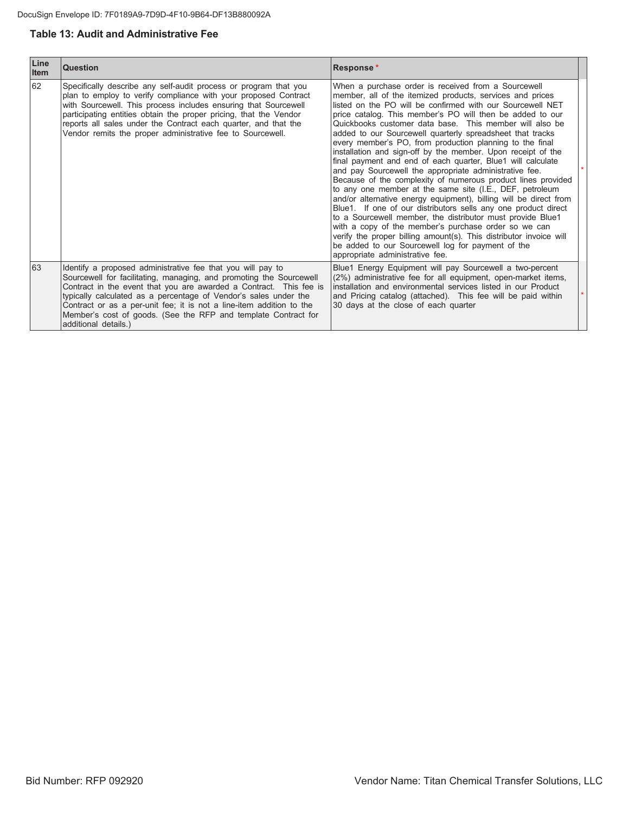## **Table 13: Audit and Administrative Fee**

| Line<br><b>Item</b> | <b>Question</b>                                                                                                                                                                                                                                                                                                                                                                                                                                | Response*                                                                                                                                                                                                                                                                                                                                                                                                                                                                                                                                                                                                                                                                                                                                                                                                                                                                                                                                                                                                                                                                                                                                                                       |  |
|---------------------|------------------------------------------------------------------------------------------------------------------------------------------------------------------------------------------------------------------------------------------------------------------------------------------------------------------------------------------------------------------------------------------------------------------------------------------------|---------------------------------------------------------------------------------------------------------------------------------------------------------------------------------------------------------------------------------------------------------------------------------------------------------------------------------------------------------------------------------------------------------------------------------------------------------------------------------------------------------------------------------------------------------------------------------------------------------------------------------------------------------------------------------------------------------------------------------------------------------------------------------------------------------------------------------------------------------------------------------------------------------------------------------------------------------------------------------------------------------------------------------------------------------------------------------------------------------------------------------------------------------------------------------|--|
| 62                  | Specifically describe any self-audit process or program that you<br>plan to employ to verify compliance with your proposed Contract<br>with Sourcewell. This process includes ensuring that Sourcewell<br>participating entities obtain the proper pricing, that the Vendor<br>reports all sales under the Contract each quarter, and that the<br>Vendor remits the proper administrative fee to Sourcewell.                                   | When a purchase order is received from a Sourcewell<br>member, all of the itemized products, services and prices<br>listed on the PO will be confirmed with our Sourcewell NET<br>price catalog. This member's PO will then be added to our<br>Quickbooks customer data base. This member will also be<br>added to our Sourcewell quarterly spreadsheet that tracks<br>every member's PO, from production planning to the final<br>installation and sign-off by the member. Upon receipt of the<br>final payment and end of each quarter, Blue1 will calculate<br>and pay Sourcewell the appropriate administrative fee.<br>Because of the complexity of numerous product lines provided<br>to any one member at the same site (I.E., DEF, petroleum<br>and/or alternative energy equipment), billing will be direct from<br>Blue1. If one of our distributors sells any one product direct<br>to a Sourcewell member, the distributor must provide Blue1<br>with a copy of the member's purchase order so we can<br>verify the proper billing amount(s). This distributor invoice will<br>be added to our Sourcewell log for payment of the<br>appropriate administrative fee. |  |
| 63                  | Identify a proposed administrative fee that you will pay to<br>Sourcewell for facilitating, managing, and promoting the Sourcewell<br>Contract in the event that you are awarded a Contract. This fee is<br>typically calculated as a percentage of Vendor's sales under the<br>Contract or as a per-unit fee; it is not a line-item addition to the<br>Member's cost of goods. (See the RFP and template Contract for<br>additional details.) | Blue1 Energy Equipment will pay Sourcewell a two-percent<br>(2%) administrative fee for all equipment, open-market items,<br>installation and environmental services listed in our Product<br>and Pricing catalog (attached). This fee will be paid within<br>30 days at the close of each quarter                                                                                                                                                                                                                                                                                                                                                                                                                                                                                                                                                                                                                                                                                                                                                                                                                                                                              |  |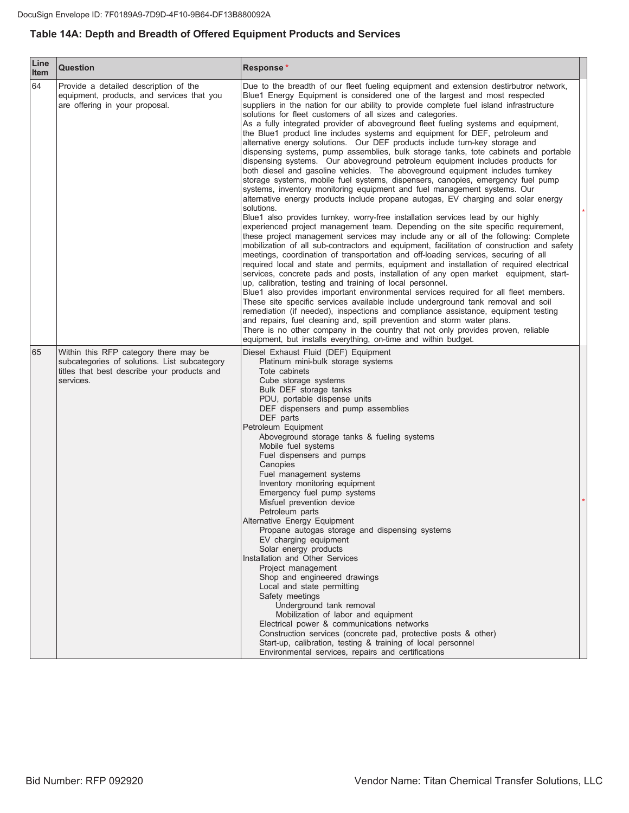## Table 14A: Depth and Breadth of Offered Equipment Products and Services

| Line<br>Item | <b>Question</b>                                                                                                                                   | Response*                                                                                                                                                                                                                                                                                                                                                                                                                                                                                                                                                                                                                                                                                                                                                                                                                                                                                                                                                                                                                                                                                                                                                                                                                                                                                                                                                                                                                                                                                                                                                                                                                                                                                                                                                                                                                                                                                                                                                                                                                                                                                                                                                                                                                                                                                                        |  |
|--------------|---------------------------------------------------------------------------------------------------------------------------------------------------|------------------------------------------------------------------------------------------------------------------------------------------------------------------------------------------------------------------------------------------------------------------------------------------------------------------------------------------------------------------------------------------------------------------------------------------------------------------------------------------------------------------------------------------------------------------------------------------------------------------------------------------------------------------------------------------------------------------------------------------------------------------------------------------------------------------------------------------------------------------------------------------------------------------------------------------------------------------------------------------------------------------------------------------------------------------------------------------------------------------------------------------------------------------------------------------------------------------------------------------------------------------------------------------------------------------------------------------------------------------------------------------------------------------------------------------------------------------------------------------------------------------------------------------------------------------------------------------------------------------------------------------------------------------------------------------------------------------------------------------------------------------------------------------------------------------------------------------------------------------------------------------------------------------------------------------------------------------------------------------------------------------------------------------------------------------------------------------------------------------------------------------------------------------------------------------------------------------------------------------------------------------------------------------------------------------|--|
| 64           | Provide a detailed description of the<br>equipment, products, and services that you<br>are offering in your proposal.                             | Due to the breadth of our fleet fueling equipment and extension destirbutror network,<br>Blue1 Energy Equipment is considered one of the largest and most respected<br>suppliers in the nation for our ability to provide complete fuel island infrastructure<br>solutions for fleet customers of all sizes and categories.<br>As a fully integrated provider of aboveground fleet fueling systems and equipment,<br>the Blue1 product line includes systems and equipment for DEF, petroleum and<br>alternative energy solutions. Our DEF products include turn-key storage and<br>dispensing systems, pump assemblies, bulk storage tanks, tote cabinets and portable<br>dispensing systems. Our aboveground petroleum equipment includes products for<br>both diesel and gasoline vehicles. The aboveground equipment includes turnkey<br>storage systems, mobile fuel systems, dispensers, canopies, emergency fuel pump<br>systems, inventory monitoring equipment and fuel management systems. Our<br>alternative energy products include propane autogas, EV charging and solar energy<br>solutions.<br>Blue1 also provides turnkey, worry-free installation services lead by our highly<br>experienced project management team. Depending on the site specific requirement,<br>these project management services may include any or all of the following: Complete<br>mobilization of all sub-contractors and equipment, facilitation of construction and safety<br>meetings, coordination of transportation and off-loading services, securing of all<br>required local and state and permits, equipment and installation of required electrical<br>services, concrete pads and posts, installation of any open market equipment, start-<br>up, calibration, testing and training of local personnel.<br>Blue1 also provides important environmental services required for all fleet members.<br>These site specific services available include underground tank removal and soil<br>remediation (if needed), inspections and compliance assistance, equipment testing<br>and repairs, fuel cleaning and, spill prevention and storm water plans.<br>There is no other company in the country that not only provides proven, reliable<br>equipment, but installs everything, on-time and within budget. |  |
| 65           | Within this RFP category there may be<br>subcategories of solutions. List subcategory<br>titles that best describe your products and<br>services. | Diesel Exhaust Fluid (DEF) Equipment<br>Platinum mini-bulk storage systems<br>Tote cabinets<br>Cube storage systems<br>Bulk DEF storage tanks<br>PDU, portable dispense units<br>DEF dispensers and pump assemblies<br>DEF parts<br>Petroleum Equipment<br>Aboveground storage tanks & fueling systems<br>Mobile fuel systems<br>Fuel dispensers and pumps<br>Canopies<br>Fuel management systems<br>Inventory monitoring equipment<br>Emergency fuel pump systems<br>Misfuel prevention device<br>Petroleum parts<br>Alternative Energy Equipment<br>Propane autogas storage and dispensing systems<br>EV charging equipment<br>Solar energy products<br>Installation and Other Services<br>Project management<br>Shop and engineered drawings<br>Local and state permitting<br>Safety meetings<br>Underground tank removal<br>Mobilization of labor and equipment<br>Electrical power & communications networks<br>Construction services (concrete pad, protective posts & other)<br>Start-up, calibration, testing & training of local personnel<br>Environmental services, repairs and certifications                                                                                                                                                                                                                                                                                                                                                                                                                                                                                                                                                                                                                                                                                                                                                                                                                                                                                                                                                                                                                                                                                                                                                                                                        |  |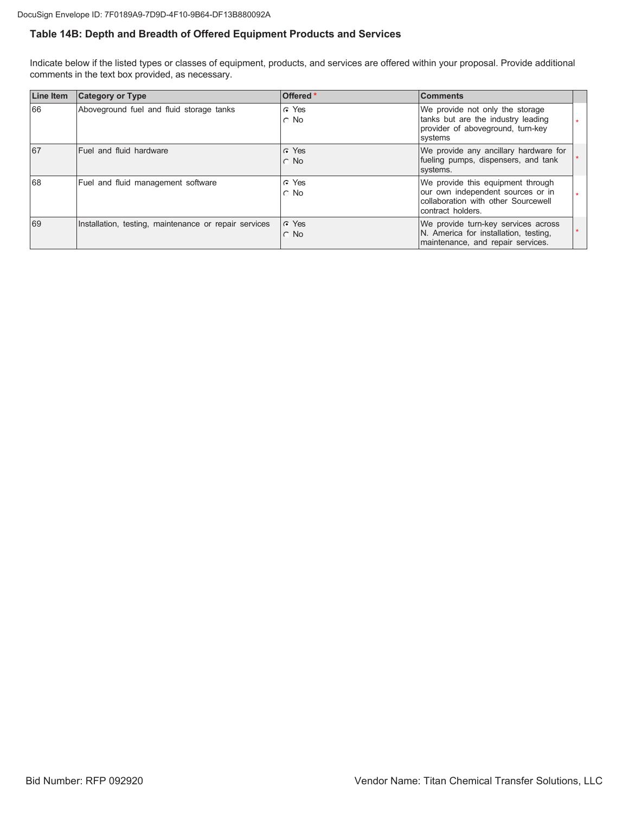## Table 14B: Depth and Breadth of Offered Equipment Products and Services

Indicate below if the listed types or classes of equipment, products, and services are offered within your proposal. Provide additional comments in the text box provided, as necessary.

| <b>Line Item</b> | <b>Category or Type</b>                               | Offered *                     | <b>Comments</b>                                                                                                                    |  |
|------------------|-------------------------------------------------------|-------------------------------|------------------------------------------------------------------------------------------------------------------------------------|--|
| 66               | Aboveground fuel and fluid storage tanks              | G Yes<br>$\circ$ No           | We provide not only the storage<br>tanks but are the industry leading<br>provider of aboveground, turn-key<br>systems              |  |
| 67               | <b>Fuel and fluid hardware</b>                        | $\subset$ Yes<br>$\cap$ No    | We provide any ancillary hardware for<br>fueling pumps, dispensers, and tank<br>systems.                                           |  |
| 68               | Fuel and fluid management software                    | C Yes<br>$\cap$ No            | We provide this equipment through<br>our own independent sources or in<br>collaboration with other Sourcewell<br>contract holders. |  |
| 69               | Installation, testing, maintenance or repair services | $\cap$ Yes<br><b>No</b><br>C. | We provide turn-key services across<br>N. America for installation, testing,<br>maintenance, and repair services.                  |  |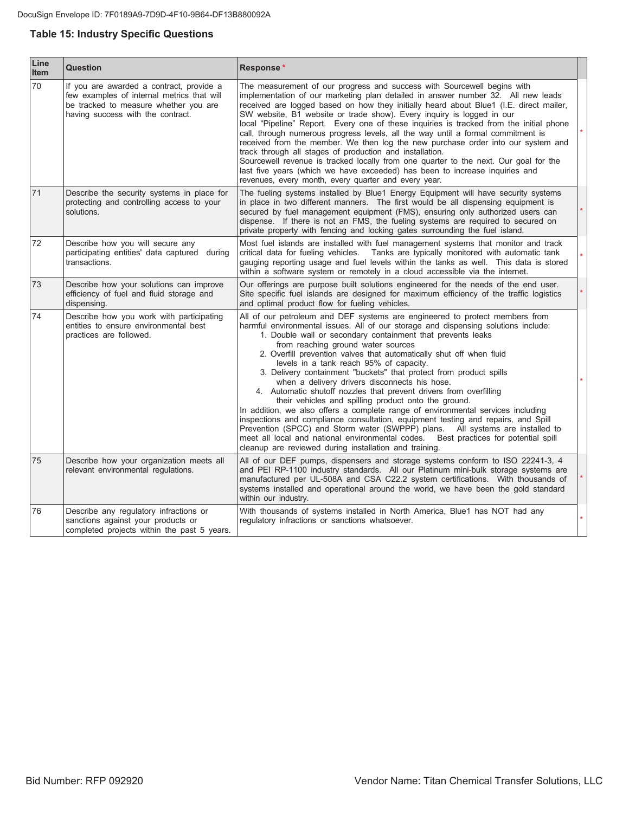## **Table 15: Industry Specific Questions**

| Line<br><b>Item</b> | <b>Question</b>                                                                                                                                                      | Response*                                                                                                                                                                                                                                                                                                                                                                                                                                                                                                                                                                                                                                                                                                                                                                                                                                                                                                                                                                                                                                                    |         |
|---------------------|----------------------------------------------------------------------------------------------------------------------------------------------------------------------|--------------------------------------------------------------------------------------------------------------------------------------------------------------------------------------------------------------------------------------------------------------------------------------------------------------------------------------------------------------------------------------------------------------------------------------------------------------------------------------------------------------------------------------------------------------------------------------------------------------------------------------------------------------------------------------------------------------------------------------------------------------------------------------------------------------------------------------------------------------------------------------------------------------------------------------------------------------------------------------------------------------------------------------------------------------|---------|
| 70                  | If you are awarded a contract, provide a<br>few examples of internal metrics that will<br>be tracked to measure whether you are<br>having success with the contract. | The measurement of our progress and success with Sourcewell begins with<br>implementation of our marketing plan detailed in answer number 32. All new leads<br>received are logged based on how they initially heard about Blue1 (I.E. direct mailer,<br>SW website, B1 website or trade show). Every inquiry is logged in our<br>local "Pipeline" Report. Every one of these inquiries is tracked from the initial phone<br>call, through numerous progress levels, all the way until a formal commitment is<br>received from the member. We then log the new purchase order into our system and<br>track through all stages of production and installation.<br>Sourcewell revenue is tracked locally from one quarter to the next. Our goal for the<br>last five years (which we have exceeded) has been to increase inquiries and<br>revenues, every month, every quarter and every year.                                                                                                                                                                 | $\star$ |
| 71                  | Describe the security systems in place for<br>protecting and controlling access to your<br>solutions.                                                                | The fueling systems installed by Blue1 Energy Equipment will have security systems<br>in place in two different manners. The first would be all dispensing equipment is<br>secured by fuel management equipment (FMS), ensuring only authorized users can<br>dispense. If there is not an FMS, the fueling systems are required to secured on<br>private property with fencing and locking gates surrounding the fuel island.                                                                                                                                                                                                                                                                                                                                                                                                                                                                                                                                                                                                                                | $\star$ |
| 72                  | Describe how you will secure any<br>participating entities' data captured during<br>transactions.                                                                    | Most fuel islands are installed with fuel management systems that monitor and track<br>critical data for fueling vehicles. Tanks are typically monitored with automatic tank<br>gauging reporting usage and fuel levels within the tanks as well. This data is stored<br>within a software system or remotely in a cloud accessible via the internet.                                                                                                                                                                                                                                                                                                                                                                                                                                                                                                                                                                                                                                                                                                        | *.      |
| 73                  | Describe how your solutions can improve<br>efficiency of fuel and fluid storage and<br>dispensing.                                                                   | Our offerings are purpose built solutions engineered for the needs of the end user.<br>Site specific fuel islands are designed for maximum efficiency of the traffic logistics<br>and optimal product flow for fueling vehicles.                                                                                                                                                                                                                                                                                                                                                                                                                                                                                                                                                                                                                                                                                                                                                                                                                             | $\star$ |
| 74                  | Describe how you work with participating<br>entities to ensure environmental best<br>practices are followed.                                                         | All of our petroleum and DEF systems are engineered to protect members from<br>harmful environmental issues. All of our storage and dispensing solutions include:<br>1. Double wall or secondary containment that prevents leaks<br>from reaching ground water sources<br>2. Overfill prevention valves that automatically shut off when fluid<br>levels in a tank reach 95% of capacity.<br>3. Delivery containment "buckets" that protect from product spills<br>when a delivery drivers disconnects his hose.<br>4. Automatic shutoff nozzles that prevent drivers from overfilling<br>their vehicles and spilling product onto the ground.<br>In addition, we also offers a complete range of environmental services including<br>inspections and compliance consultation, equipment testing and repairs, and Spill<br>Prevention (SPCC) and Storm water (SWPPP) plans. All systems are installed to<br>meet all local and national environmental codes.<br>Best practices for potential spill<br>cleanup are reviewed during installation and training. |         |
| 75                  | Describe how your organization meets all<br>relevant environmental regulations.                                                                                      | All of our DEF pumps, dispensers and storage systems conform to ISO 22241-3, 4<br>and PEI RP-1100 industry standards. All our Platinum mini-bulk storage systems are<br>manufactured per UL-508A and CSA C22.2 system certifications. With thousands of<br>systems installed and operational around the world, we have been the gold standard<br>within our industry.                                                                                                                                                                                                                                                                                                                                                                                                                                                                                                                                                                                                                                                                                        | $\star$ |
| 76                  | Describe any regulatory infractions or<br>sanctions against your products or<br>completed projects within the past 5 years.                                          | With thousands of systems installed in North America, Blue1 has NOT had any<br>regulatory infractions or sanctions whatsoever.                                                                                                                                                                                                                                                                                                                                                                                                                                                                                                                                                                                                                                                                                                                                                                                                                                                                                                                               | $\star$ |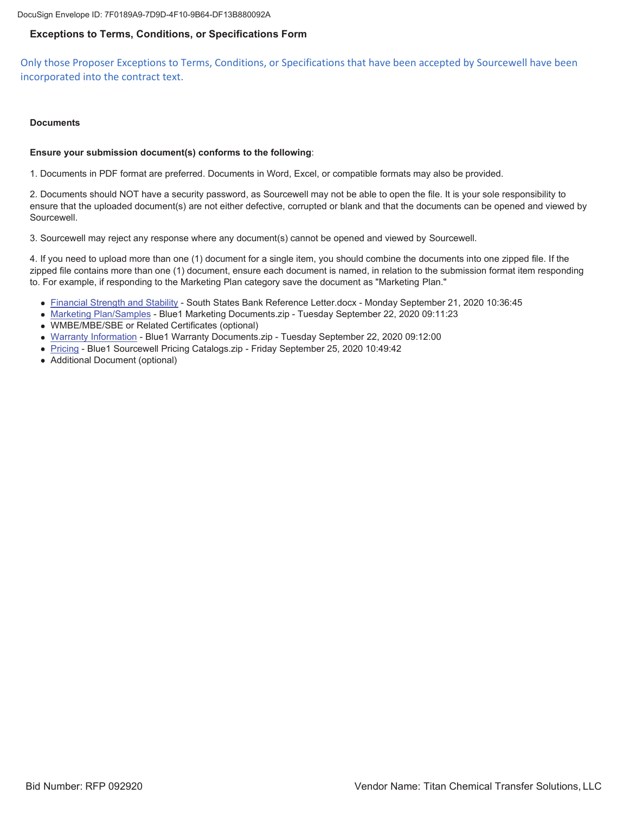DocuSign Envelope ID: 7F0189A9-7D9D-4F10-9B64-DF13B880092A

#### **Exceptions to Terms, Conditions, or Specifications Form**

Only those Proposer Exceptions to Terms, Conditions, or Specifications that have been accepted by Sourcewell have been incorporated into the contract text.

#### **Documents**

#### **Ensure your submission document(s) conforms to the following**:

1. Documents in PDF format are preferred. Documents in Word, Excel, or compatible formats may also be provided.

2. Documents should NOT have a security password, as Sourcewell may not be able to open the file. It is your sole responsibility to ensure that the uploaded document(s) are not either defective, corrupted or blank and that the documents can be opened and viewed by Sourcewell.

3. Sourcewell may reject any response where any document(s) cannot be opened and viewed by Sourcewell.

4. If you need to upload more than one (1) document for a single item, you should combine the documents into one zipped file. If the zipped file contains more than one (1) document, ensure each document is named, in relation to the submission format item responding to. For example, if responding to the Marketing Plan category save the document as "Marketing Plan."

- Financial Strength and Stability South States Bank Reference Letter.docx Monday September 21, 2020 10:36:45
- Marketing Plan/Samples Blue1 Marketing Documents.zip Tuesday September 22, 2020 09:11:23
- WMBE/MBE/SBE or Related Certificates (optional)
- Warranty Information Blue1 Warranty Documents.zip Tuesday September 22, 2020 09:12:00
- Pricing Blue1 Sourcewell Pricing Catalogs.zip Friday September 25, 2020 10:49:42
- Additional Document (optional)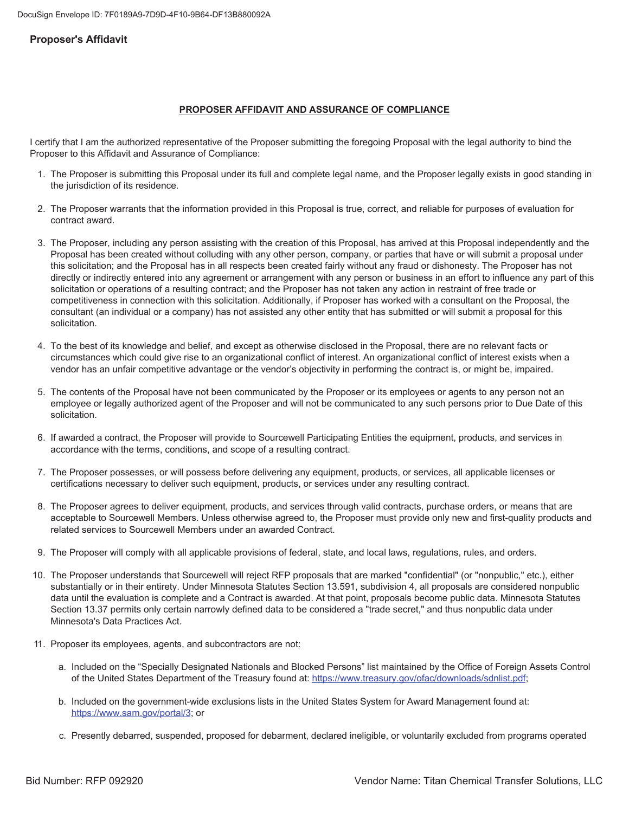#### **Proposer's Affidavit**

#### **PROPOSER AFFIDAVIT AND ASSURANCE OF COMPLIANCE**

I certify that I am the authorized representative of the Proposer submitting the foregoing Proposal with the legal authority to bind the Proposer to this Affidavit and Assurance of Compliance:

- 1. The Proposer is submitting this Proposal under its full and complete legal name, and the Proposer legally exists in good standing in the jurisdiction of its residence.
- 2. The Proposer warrants that the information provided in this Proposal is true, correct, and reliable for purposes of evaluation for contract award.
- 3. The Proposer, including any person assisting with the creation of this Proposal, has arrived at this Proposal independently and the Proposal has been created without colluding with any other person, company, or parties that have or will submit a proposal under this solicitation; and the Proposal has in all respects been created fairly without any fraud or dishonesty. The Proposer has not directly or indirectly entered into any agreement or arrangement with any person or business in an effort to influence any part of this solicitation or operations of a resulting contract; and the Proposer has not taken any action in restraint of free trade or competitiveness in connection with this solicitation. Additionally, if Proposer has worked with a consultant on the Proposal, the consultant (an individual or a company) has not assisted any other entity that has submitted or will submit a proposal for this solicitation.
- 4. To the best of its knowledge and belief, and except as otherwise disclosed in the Proposal, there are no relevant facts or circumstances which could give rise to an organizational conflict of interest. An organizational conflict of interest exists when a vendor has an unfair competitive advantage or the vendor's objectivity in performing the contract is, or might be, impaired.
- 5. The contents of the Proposal have not been communicated by the Proposer or its employees or agents to any person not an employee or legally authorized agent of the Proposer and will not be communicated to any such persons prior to Due Date of this solicitation
- 6. If awarded a contract, the Proposer will provide to Sourcewell Participating Entities the equipment, products, and services in accordance with the terms, conditions, and scope of a resulting contract.
- 7. The Proposer possesses, or will possess before delivering any equipment, products, or services, all applicable licenses or certifications necessary to deliver such equipment, products, or services under any resulting contract.
- 8. The Proposer agrees to deliver equipment, products, and services through valid contracts, purchase orders, or means that are acceptable to Sourcewell Members. Unless otherwise agreed to, the Proposer must provide only new and first-quality products and related services to Sourcewell Members under an awarded Contract.
- 9. The Proposer will comply with all applicable provisions of federal, state, and local laws, regulations, rules, and orders.
- 10. The Proposer understands that Sourcewell will reject RFP proposals that are marked "confidential" (or "nonpublic," etc.), either substantially or in their entirety. Under Minnesota Statutes Section 13.591, subdivision 4, all proposals are considered nonpublic data until the evaluation is complete and a Contract is awarded. At that point, proposals become public data. Minnesota Statutes Section 13.37 permits only certain narrowly defined data to be considered a "trade secret," and thus nonpublic data under Minnesota's Data Practices Act.
- 11. Proposer its employees, agents, and subcontractors are not:
	- a. Included on the "Specially Designated Nationals and Blocked Persons" list maintained by the Office of Foreign Assets Control of the United States Department of the Treasury found at: https://www.treasury.qov/ofac/downloads/sdnlist.pdf;
	- b. Included on the government-wide exclusions lists in the United States System for Award Management found at: https://www.sam.gov/portal/3; or
	- c. Presently debarred, suspended, proposed for debarment, declared ineligible, or voluntarily excluded from programs operated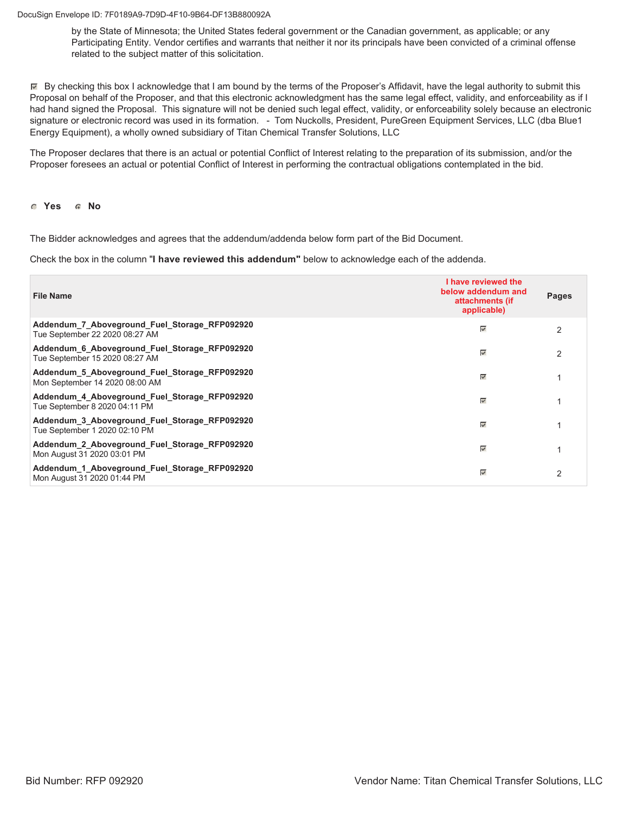DocuSign Envelope ID: 7F0189A9-7D9D-4F10-9B64-DF13B880092A

by the State of Minnesota; the United States federal government or the Canadian government, as applicable; or any Participating Entity. Vendor certifies and warrants that neither it nor its principals have been convicted of a criminal offense related to the subject matter of this solicitation.

 $\mathbb F$  By checking this box I acknowledge that I am bound by the terms of the Proposer's Affidavit, have the legal authority to submit this Proposal on behalf of the Proposer, and that this electronic acknowledgment has the same legal effect, validity, and enforceability as if I had hand signed the Proposal. This signature will not be denied such legal effect, validity, or enforceability solely because an electronic signature or electronic record was used in its formation. - Tom Nuckolls, President, PureGreen Equipment Services, LLC (dba Blue1 Energy Equipment), a wholly owned subsidiary of Titan Chemical Transfer Solutions, LLC

The Proposer declares that there is an actual or potential Conflict of Interest relating to the preparation of its submission, and/or the Proposer foresees an actual or potential Conflict of Interest in performing the contractual obligations contemplated in the bid.

**6** Yes **6** No

The Bidder acknowledges and agrees that the addendum/addenda below form part of the Bid Document.

Check the box in the column "I have reviewed this addendum" below to acknowledge each of the addenda.

| <b>File Name</b>                                                                | I have reviewed the<br>below addendum and<br>attachments (if<br>applicable) | Pages          |
|---------------------------------------------------------------------------------|-----------------------------------------------------------------------------|----------------|
| Addendum 7 Aboveground Fuel Storage RFP092920<br>Tue September 22 2020 08:27 AM | $\overline{\mathscr{S}}$                                                    | $\mathcal{P}$  |
| Addendum_6_Aboveground_Fuel_Storage_RFP092920<br>Tue September 15 2020 08:27 AM | ⊽                                                                           | 2              |
| Addendum 5 Aboveground Fuel Storage RFP092920<br>Mon September 14 2020 08:00 AM | ⊽                                                                           |                |
| Addendum 4 Aboveground Fuel Storage RFP092920<br>Tue September 8 2020 04:11 PM  | $\overline{\mathscr{A}}$                                                    |                |
| Addendum 3 Aboveground Fuel Storage RFP092920<br>Tue September 1 2020 02:10 PM  | $\overline{\mathscr{S}}$                                                    |                |
| Addendum 2 Aboveground Fuel Storage RFP092920<br>Mon August 31 2020 03:01 PM    | ⊽                                                                           |                |
| Addendum 1 Aboveground Fuel Storage RFP092920<br>Mon August 31 2020 01:44 PM    | ⊽                                                                           | $\mathfrak{p}$ |